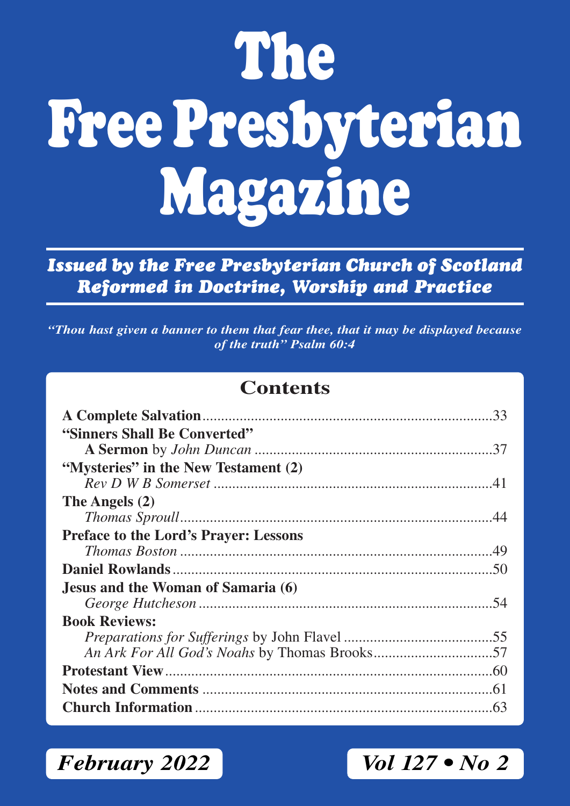# **The Free Presbyterian Magazine**

*Issued by the Free Presbyterian Church of Scotland Reformed in Doctrine, Worship and Practice*

*"Thou hast given a banner to them that fear thee, that it may be displayed because of the truth" Psalm 60:4*

### **Contents**

| "Sinners Shall Be Converted"                 |  |
|----------------------------------------------|--|
|                                              |  |
| "Mysteries" in the New Testament (2)         |  |
|                                              |  |
| The Angels (2)                               |  |
|                                              |  |
| <b>Preface to the Lord's Prayer: Lessons</b> |  |
|                                              |  |
|                                              |  |
| Jesus and the Woman of Samaria (6)           |  |
|                                              |  |
| <b>Book Reviews:</b>                         |  |
|                                              |  |
|                                              |  |
|                                              |  |
|                                              |  |
|                                              |  |

*February 2022 Vol 127 • No 2*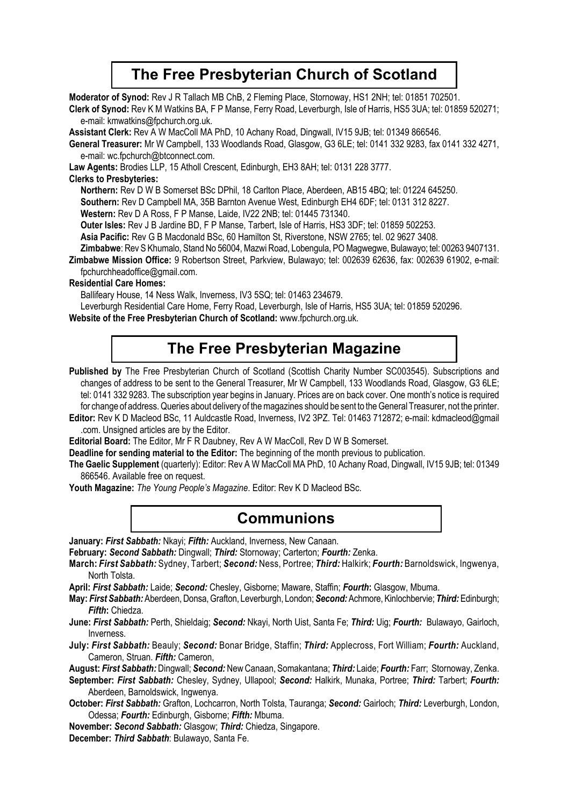### **The Free Presbyterian Church of Scotland**

**Moderator of Synod:** Rev J R Tallach MB ChB, 2 Fleming Place, Stornoway, HS1 2NH; tel: 01851 702501.

**Clerk of Synod:** Rev K M Watkins BA, F P Manse, Ferry Road, Leverburgh, Isle of Harris, HS5 3UA; tel: 01859 520271; e-mail: kmwatkins@fpchurch.org.uk.

**Assistant Clerk:** Rev A W MacColl MA PhD, 10 Achany Road, Dingwall, IV15 9JB; tel: 01349 866546.

**General Treasurer:** Mr W Campbell, 133 Woodlands Road, Glasgow, G3 6LE; tel: 0141 332 9283, fax 0141 332 4271, e-mail: wc.fpchurch@btconnect.com.

**Law Agents:** Brodies LLP, 15 Atholl Crescent, Edinburgh, EH3 8AH; tel: 0131 228 3777.

#### **Clerks to Presbyteries:**

**Northern:** Rev D W B Somerset BSc DPhil, 18 Carlton Place, Aberdeen, AB15 4BQ; tel: 01224 645250.

**Southern:** Rev D Campbell MA, 35B Barnton Avenue West, Edinburgh EH4 6DF; tel: 0131 312 8227.

**Western:** Rev D A Ross, F P Manse, Laide, IV22 2NB; tel: 01445 731340.

**Outer lsles:** Rev J B Jardine BD, F P Manse, Tarbert, Isle of Harris, HS3 3DF; tel: 01859 502253.

**Asia Pacific:** Rev G B Macdonald BSc, 60 Hamilton St, Riverstone, NSW 2765; tel. 02 9627 3408.

**Zimbabwe**: Rev S Khumalo, Stand No 56004, Mazwi Road, Lobengula, PO Magwegwe, Bulawayo; tel: 00263 9407131.

**Zimbabwe Mission Office:** 9 Robertson Street, Parkview, Bulawayo; tel: 002639 62636, fax: 002639 61902, e-mail: fpchurchheadoffice@gmail.com.

#### **Residential Care Homes:**

Ballifeary House, 14 Ness Walk, Inverness, IV3 5SQ; tel: 01463 234679.

Leverburgh Residential Care Home, Ferry Road, Leverburgh, Isle of Harris, HS5 3UA; tel: 01859 520296.

**Website of the Free Presbyterian Church of Scotland:** www.fpchurch.org.uk.

### **The Free Presbyterian Magazine**

Published by The Free Presbyterian Church of Scotland (Scottish Charity Number SC003545). Subscriptions and changes of address to be sent to the General Treasurer, Mr W Campbell, 133 Woodlands Road, Glasgow, G3 6LE; tel: 0141 332 9283. The subscription year begins in January. Prices are on back cover. One month's notice is required for change of address. Queries about delivery of the magazines should be sent to the General Treasurer, not the printer.

**Editor:** Rev K D Macleod BSc, 11 Auldcastle Road, Inverness, IV2 3PZ. Tel: 01463 712872; e-mail: kdmacleod@gmail .com. Unsigned articles are by the Editor.

**Editorial Board:** The Editor, Mr F R Daubney, Rev A W MacColl, Rev D W B Somerset.

**Deadline for sending material to the Editor:** The beginning of the month previous to publication.

**The Gaelic Supplement** (quarterly): Editor: Rev A W MacColl MA PhD, 10 Achany Road, Dingwall, IV15 9JB; tel: 01349 866546. Available free on request.

**Youth Magazine:** *The Young People's Magazine*. Editor: Rev K D Macleod BSc.

### **Communions**

**January:** *First Sabbath:* Nkayi; *Fifth:* Auckland, Inverness, New Canaan.

**February:** *Second Sabbath:* Dingwall; *Third:* Stornoway; Carterton; *Fourth:* Zenka.

**March:** *First Sabbath:* Sydney, Tarbert; *Second:* Ness, Portree; *Third:* Halkirk; *Fourth:* Barnoldswick, Ingwenya, North Tolsta.

**April:** *First Sabbath:* Laide; *Second:* Chesley, Gisborne; Maware, Staffin; *Fourth***:** Glasgow, Mbuma.

**May:** *First Sabbath:* Aberdeen, Donsa, Grafton, Leverburgh, London; *Second:* Achmore, Kinlochbervie; *Third:* Edinburgh; *Fifth***:** Chiedza.

**June:** *First Sabbath:* Perth, Shieldaig; *Second:* Nkayi, North Uist, Santa Fe; *Third:* Uig; *Fourth:* Bulawayo, Gairloch, Inverness.

**July:** *First Sabbath:* Beauly; *Second:* Bonar Bridge, Staffin; *Third:* Applecross, Fort William; *Fourth:* Auckland, Cameron, Struan. *Fifth:* Cameron,

**August:** *First Sabbath:* Dingwall; *Second:* New Canaan, Somakantana; *Third:* Laide; *Fourth:* Farr; Stornoway, Zenka.

**September:** *First Sabbath:* Chesley, Sydney, Ullapool; *Second:* Halkirk, Munaka, Portree; *Third:* Tarbert; *Fourth:* Aberdeen, Barnoldswick, Ingwenya.

**October:** *First Sabbath:* Grafton, Lochcarron, North Tolsta, Tauranga; *Second:* Gairloch; *Third:* Leverburgh, London, Odessa; *Fourth:* Edinburgh, Gisborne; *Fifth:* Mbuma.

**November:** *Second Sabbath:* Glasgow; *Third:* Chiedza, Singapore.

**December:** *Third Sabbath*: Bulawayo, Santa Fe.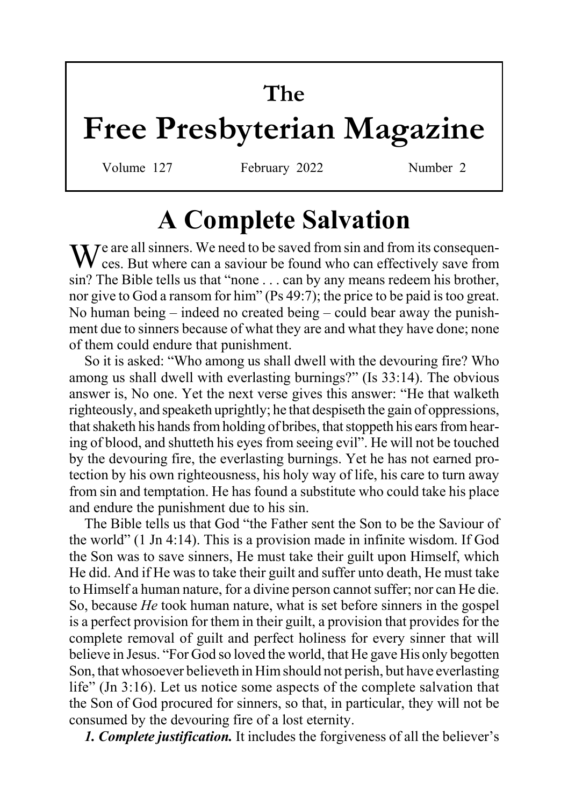# **The**

# **Free Presbyterian Magazine**

Volume 127 February 2022 Number 2

# **A Complete Salvation**

We are all sinners. We need to be saved from sin and from its consequen-<br>Sees. But where can a saviour be found who can effectively save from sin? The Bible tells us that "none . . . can by any means redeem his brother, nor give to God a ransom for him" (Ps 49:7); the price to be paid is too great. No human being – indeed no created being – could bear away the punishment due to sinners because of what they are and what they have done; none of them could endure that punishment.

So it is asked: "Who among us shall dwell with the devouring fire? Who among us shall dwell with everlasting burnings?" (Is 33:14). The obvious answer is, No one. Yet the next verse gives this answer: "He that walketh righteously, and speaketh uprightly; he that despiseth the gain of oppressions, that shaketh his hands from holding of bribes, that stoppeth his ears from hearing of blood, and shutteth his eyes from seeing evil". He will not be touched by the devouring fire, the everlasting burnings. Yet he has not earned protection by his own righteousness, his holy way of life, his care to turn away from sin and temptation. He has found a substitute who could take his place and endure the punishment due to his sin.

The Bible tells us that God "the Father sent the Son to be the Saviour of the world" (1 Jn 4:14). This is a provision made in infinite wisdom. If God the Son was to save sinners, He must take their guilt upon Himself, which He did. And if He was to take their guilt and suffer unto death, He must take to Himself a human nature, for a divine person cannot suffer; nor can He die. So, because *He* took human nature, what is set before sinners in the gospel is a perfect provision for them in their guilt, a provision that provides for the complete removal of guilt and perfect holiness for every sinner that will believe in Jesus. "For God so loved the world, that He gave His only begotten Son, that whosoever believeth in Him should not perish, but have everlasting life" (Jn 3:16). Let us notice some aspects of the complete salvation that the Son of God procured for sinners, so that, in particular, they will not be consumed by the devouring fire of a lost eternity.

*1. Complete justification.* It includes the forgiveness of all the believer's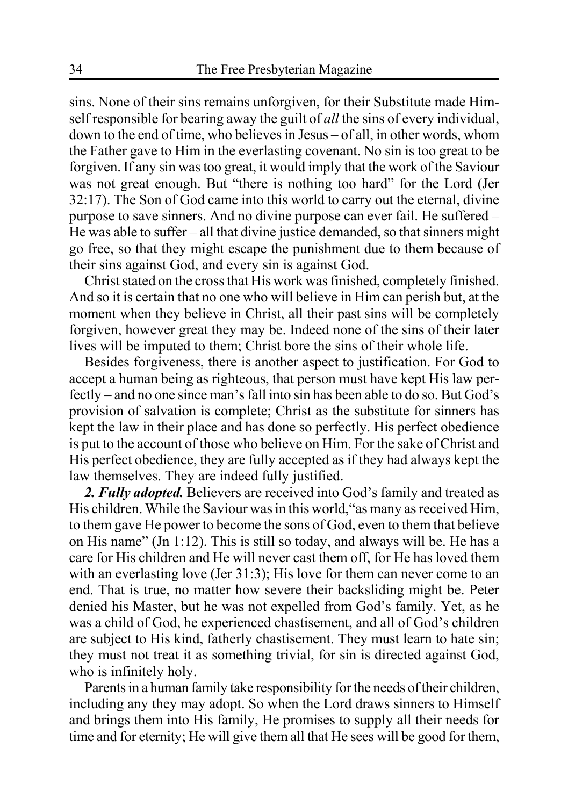sins. None of their sins remains unforgiven, for their Substitute made Himself responsible for bearing away the guilt of *all* the sins of every individual, down to the end of time, who believes in Jesus – of all, in other words, whom the Father gave to Him in the everlasting covenant. No sin is too great to be forgiven. If any sin was too great, it would imply that the work of the Saviour was not great enough. But "there is nothing too hard" for the Lord (Jer 32:17). The Son of God came into this world to carry out the eternal, divine purpose to save sinners. And no divine purpose can ever fail. He suffered – He was able to suffer – all that divine justice demanded, so that sinners might go free, so that they might escape the punishment due to them because of their sins against God, and every sin is against God.

Christ stated on the cross that His work was finished, completely finished. And so it is certain that no one who will believe in Him can perish but, at the moment when they believe in Christ, all their past sins will be completely forgiven, however great they may be. Indeed none of the sins of their later lives will be imputed to them; Christ bore the sins of their whole life.

Besides forgiveness, there is another aspect to justification. For God to accept a human being as righteous, that person must have kept His law perfectly – and no one since man's fall into sin has been able to do so. But God's provision of salvation is complete; Christ as the substitute for sinners has kept the law in their place and has done so perfectly. His perfect obedience is put to the account of those who believe on Him. For the sake of Christ and His perfect obedience, they are fully accepted as if they had always kept the law themselves. They are indeed fully justified.

*2. Fully adopted.* Believers are received into God's family and treated as His children. While the Saviour was in this world,"as many as received Him, to them gave He power to become the sons of God, even to them that believe on His name" (Jn 1:12). This is still so today, and always will be. He has a care for His children and He will never cast them off, for He has loved them with an everlasting love (Jer 31:3); His love for them can never come to an end. That is true, no matter how severe their backsliding might be. Peter denied his Master, but he was not expelled from God's family. Yet, as he was a child of God, he experienced chastisement, and all of God's children are subject to His kind, fatherly chastisement. They must learn to hate sin; they must not treat it as something trivial, for sin is directed against God, who is infinitely holy.

Parents in a human family take responsibility for the needs of their children, including any they may adopt. So when the Lord draws sinners to Himself and brings them into His family, He promises to supply all their needs for time and for eternity; He will give them all that He sees will be good for them,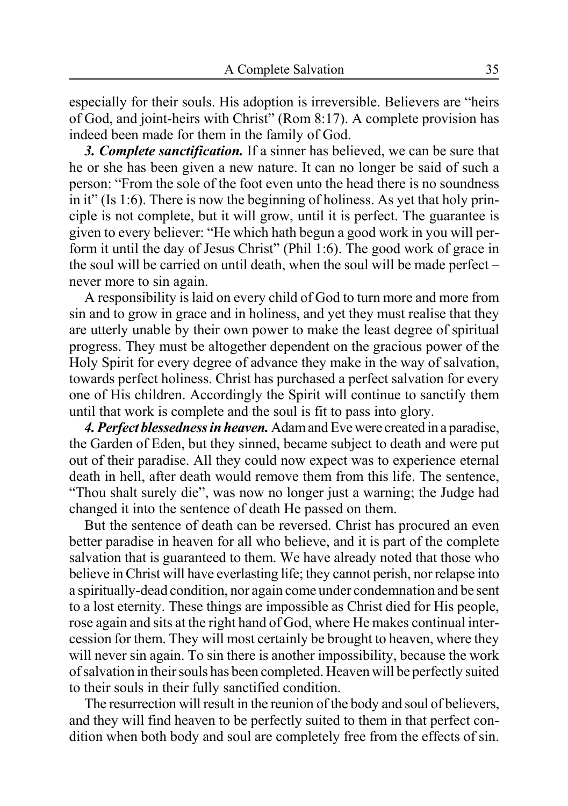especially for their souls. His adoption is irreversible. Believers are "heirs of God, and joint-heirs with Christ" (Rom 8:17). A complete provision has indeed been made for them in the family of God.

*3. Complete sanctification.* If a sinner has believed, we can be sure that he or she has been given a new nature. It can no longer be said of such a person: "From the sole of the foot even unto the head there is no soundness in it" (Is 1:6). There is now the beginning of holiness. As yet that holy principle is not complete, but it will grow, until it is perfect. The guarantee is given to every believer: "He which hath begun a good work in you will perform it until the day of Jesus Christ" (Phil 1:6). The good work of grace in the soul will be carried on until death, when the soul will be made perfect – never more to sin again.

A responsibility is laid on every child of God to turn more and more from sin and to grow in grace and in holiness, and yet they must realise that they are utterly unable by their own power to make the least degree of spiritual progress. They must be altogether dependent on the gracious power of the Holy Spirit for every degree of advance they make in the way of salvation, towards perfect holiness. Christ has purchased a perfect salvation for every one of His children. Accordingly the Spirit will continue to sanctify them until that work is complete and the soul is fit to pass into glory.

*4. Perfect blessedness in heaven.* Adam and Eve were created in a paradise, the Garden of Eden, but they sinned, became subject to death and were put out of their paradise. All they could now expect was to experience eternal death in hell, after death would remove them from this life. The sentence, "Thou shalt surely die", was now no longer just a warning; the Judge had changed it into the sentence of death He passed on them.

But the sentence of death can be reversed. Christ has procured an even better paradise in heaven for all who believe, and it is part of the complete salvation that is guaranteed to them. We have already noted that those who believe in Christ will have everlasting life; they cannot perish, nor relapse into a spiritually-dead condition, nor again come under condemnation and be sent to a lost eternity. These things are impossible as Christ died for His people, rose again and sits at the right hand of God, where He makes continual intercession for them. They will most certainly be brought to heaven, where they will never sin again. To sin there is another impossibility, because the work of salvation in their souls has been completed. Heaven will be perfectly suited to their souls in their fully sanctified condition.

The resurrection will result in the reunion of the body and soul of believers, and they will find heaven to be perfectly suited to them in that perfect condition when both body and soul are completely free from the effects of sin.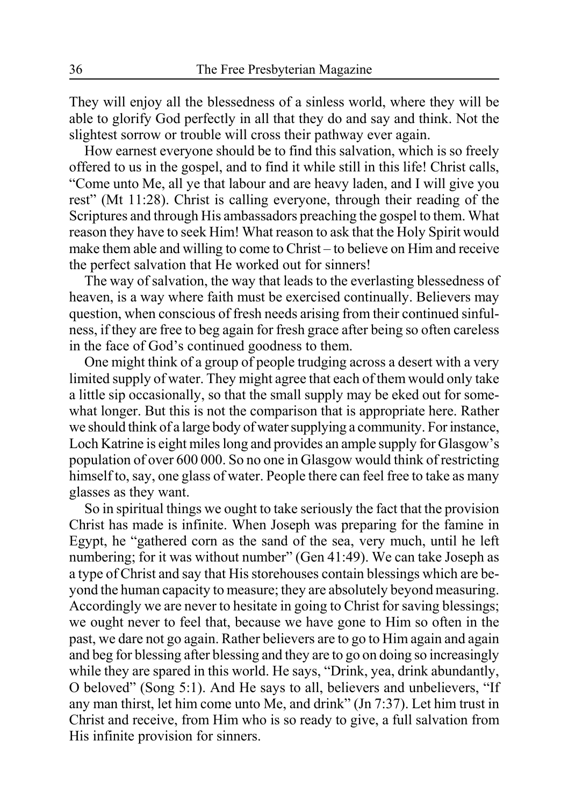They will enjoy all the blessedness of a sinless world, where they will be able to glorify God perfectly in all that they do and say and think. Not the slightest sorrow or trouble will cross their pathway ever again.

How earnest everyone should be to find this salvation, which is so freely offered to us in the gospel, and to find it while still in this life! Christ calls, "Come unto Me, all ye that labour and are heavy laden, and I will give you rest" (Mt 11:28). Christ is calling everyone, through their reading of the Scriptures and through His ambassadors preaching the gospel to them. What reason they have to seek Him! What reason to ask that the Holy Spirit would make them able and willing to come to Christ – to believe on Him and receive the perfect salvation that He worked out for sinners!

The way of salvation, the way that leads to the everlasting blessedness of heaven, is a way where faith must be exercised continually. Believers may question, when conscious of fresh needs arising from their continued sinfulness, if they are free to beg again for fresh grace after being so often careless in the face of God's continued goodness to them.

One might think of a group of people trudging across a desert with a very limited supply of water. They might agree that each of them would only take a little sip occasionally, so that the small supply may be eked out for somewhat longer. But this is not the comparison that is appropriate here. Rather we should think of a large body of water supplying a community. For instance, Loch Katrine is eight miles long and provides an ample supply for Glasgow's population of over 600 000. So no one in Glasgow would think of restricting himself to, say, one glass of water. People there can feel free to take as many glasses as they want.

So in spiritual things we ought to take seriously the fact that the provision Christ has made is infinite. When Joseph was preparing for the famine in Egypt, he "gathered corn as the sand of the sea, very much, until he left numbering; for it was without number" (Gen 41:49). We can take Joseph as a type of Christ and say that His storehouses contain blessings which are beyond the human capacity to measure; they are absolutely beyond measuring. Accordingly we are never to hesitate in going to Christ for saving blessings; we ought never to feel that, because we have gone to Him so often in the past, we dare not go again. Rather believers are to go to Him again and again and beg for blessing after blessing and they are to go on doing so increasingly while they are spared in this world. He says, "Drink, yea, drink abundantly, O beloved" (Song 5:1). And He says to all, believers and unbelievers, "If any man thirst, let him come unto Me, and drink" (Jn 7:37). Let him trust in Christ and receive, from Him who is so ready to give, a full salvation from His infinite provision for sinners.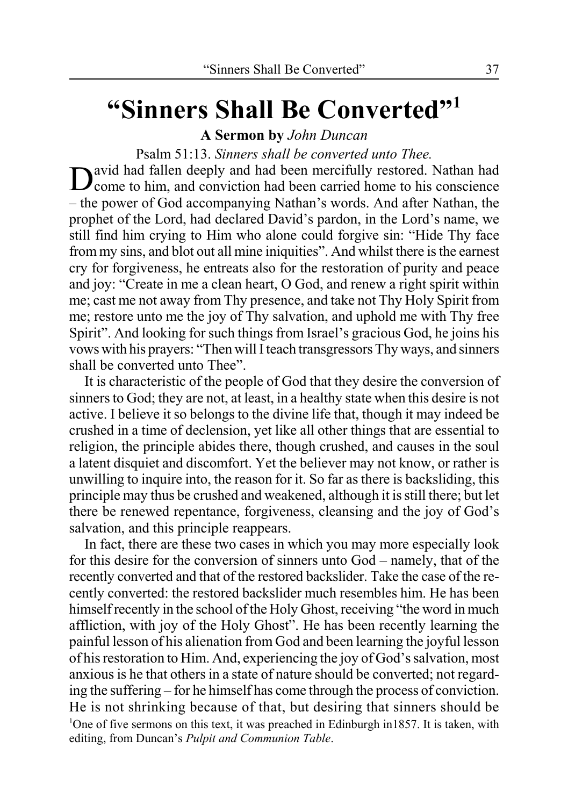# **"Sinners Shall Be Converted"1**

**A Sermon by** *John Duncan*

Psalm 51:13. *Sinners shall be converted unto Thee.*

David had fallen deeply and had been mercifully restored. Nathan had come to him, and conviction had been carried home to his conscience – the power of God accompanying Nathan's words. And after Nathan, the prophet of the Lord, had declared David's pardon, in the Lord's name, we still find him crying to Him who alone could forgive sin: "Hide Thy face from my sins, and blot out all mine iniquities". And whilst there is the earnest cry for forgiveness, he entreats also for the restoration of purity and peace and joy: "Create in me a clean heart, O God, and renew a right spirit within me; cast me not away from Thy presence, and take not Thy Holy Spirit from me; restore unto me the joy of Thy salvation, and uphold me with Thy free Spirit". And looking for such things from Israel's gracious God, he joins his vows with his prayers: "Then will I teach transgressors Thy ways, and sinners shall be converted unto Thee".

It is characteristic of the people of God that they desire the conversion of sinners to God; they are not, at least, in a healthy state when this desire is not active. I believe it so belongs to the divine life that, though it may indeed be crushed in a time of declension, yet like all other things that are essential to religion, the principle abides there, though crushed, and causes in the soul a latent disquiet and discomfort. Yet the believer may not know, or rather is unwilling to inquire into, the reason for it. So far as there is backsliding, this principle may thus be crushed and weakened, although it is still there; but let there be renewed repentance, forgiveness, cleansing and the joy of God's salvation, and this principle reappears.

In fact, there are these two cases in which you may more especially look for this desire for the conversion of sinners unto God – namely, that of the recently converted and that of the restored backslider. Take the case of the recently converted: the restored backslider much resembles him. He has been himself recently in the school of the Holy Ghost, receiving "the word in much affliction, with joy of the Holy Ghost". He has been recently learning the painful lesson of his alienation from God and been learning the joyful lesson of his restoration to Him. And, experiencing the joy of God's salvation, most anxious is he that others in a state of nature should be converted; not regarding the suffering – for he himself has come through the process of conviction. He is not shrinking because of that, but desiring that sinners should be <sup>1</sup>One of five sermons on this text, it was preached in Edinburgh in1857. It is taken, with editing, from Duncan's *Pulpit and Communion Table*.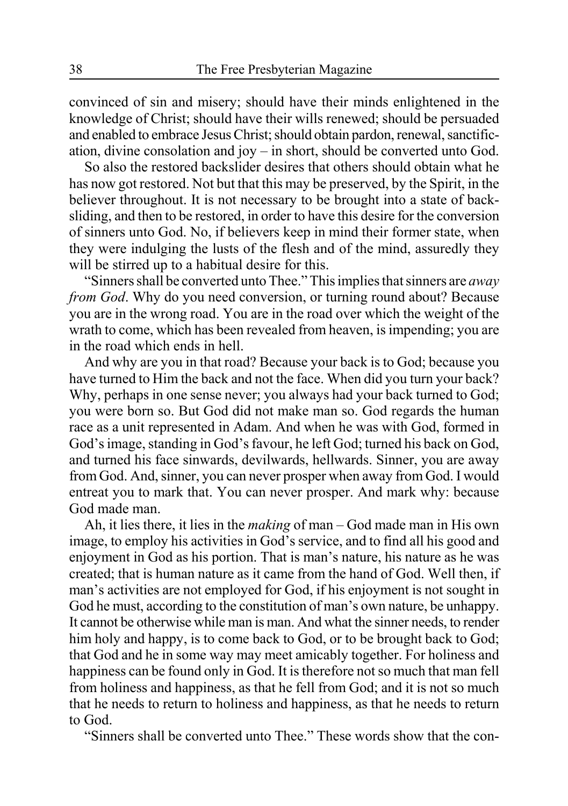convinced of sin and misery; should have their minds enlightened in the knowledge of Christ; should have their wills renewed; should be persuaded and enabled to embrace Jesus Christ; should obtain pardon, renewal, sanctification, divine consolation and joy – in short, should be converted unto God.

So also the restored backslider desires that others should obtain what he has now got restored. Not but that this may be preserved, by the Spirit, in the believer throughout. It is not necessary to be brought into a state of backsliding, and then to be restored, in order to have this desire for the conversion of sinners unto God. No, if believers keep in mind their former state, when they were indulging the lusts of the flesh and of the mind, assuredly they will be stirred up to a habitual desire for this.

"Sinners shall be converted unto Thee." This implies that sinners are *away from God*. Why do you need conversion, or turning round about? Because you are in the wrong road. You are in the road over which the weight of the wrath to come, which has been revealed from heaven, is impending; you are in the road which ends in hell.

And why are you in that road? Because your back is to God; because you have turned to Him the back and not the face. When did you turn your back? Why, perhaps in one sense never; you always had your back turned to God; you were born so. But God did not make man so. God regards the human race as a unit represented in Adam. And when he was with God, formed in God's image, standing in God's favour, he left God; turned his back on God, and turned his face sinwards, devilwards, hellwards. Sinner, you are away from God. And, sinner, you can never prosper when away from God. I would entreat you to mark that. You can never prosper. And mark why: because God made man.

Ah, it lies there, it lies in the *making* of man – God made man in His own image, to employ his activities in God's service, and to find all his good and enjoyment in God as his portion. That is man's nature, his nature as he was created; that is human nature as it came from the hand of God. Well then, if man's activities are not employed for God, if his enjoyment is not sought in God he must, according to the constitution of man's own nature, be unhappy. It cannot be otherwise while man is man. And what the sinner needs, to render him holy and happy, is to come back to God, or to be brought back to God; that God and he in some way may meet amicably together. For holiness and happiness can be found only in God. It is therefore not so much that man fell from holiness and happiness, as that he fell from God; and it is not so much that he needs to return to holiness and happiness, as that he needs to return to God.

"Sinners shall be converted unto Thee." These words show that the con-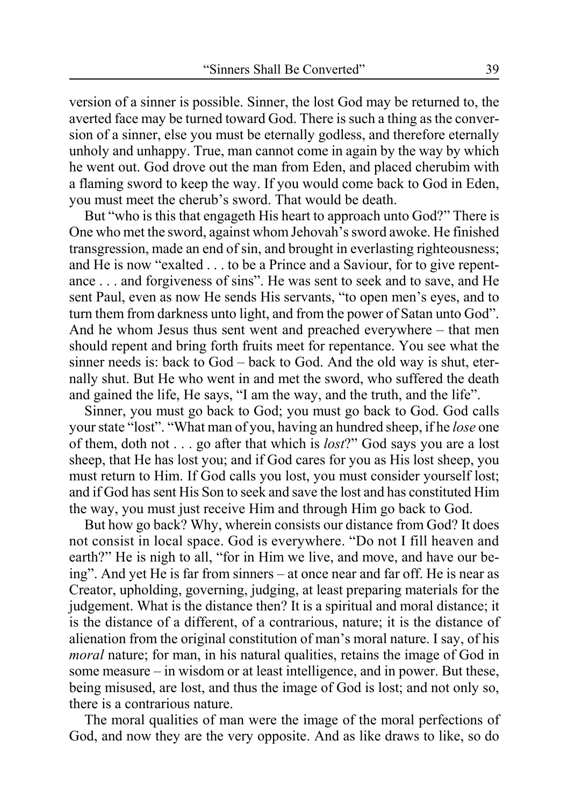version of a sinner is possible. Sinner, the lost God may be returned to, the averted face may be turned toward God. There is such a thing as the conversion of a sinner, else you must be eternally godless, and therefore eternally unholy and unhappy. True, man cannot come in again by the way by which he went out. God drove out the man from Eden, and placed cherubim with a flaming sword to keep the way. If you would come back to God in Eden, you must meet the cherub's sword. That would be death.

But "who is this that engageth His heart to approach unto God?" There is One who met the sword, against whom Jehovah's sword awoke. He finished transgression, made an end of sin, and brought in everlasting righteousness; and He is now "exalted . . . to be a Prince and a Saviour, for to give repentance . . . and forgiveness of sins". He was sent to seek and to save, and He sent Paul, even as now He sends His servants, "to open men's eyes, and to turn them from darkness unto light, and from the power of Satan unto God". And he whom Jesus thus sent went and preached everywhere – that men should repent and bring forth fruits meet for repentance. You see what the sinner needs is: back to God – back to God. And the old way is shut, eternally shut. But He who went in and met the sword, who suffered the death and gained the life, He says, "I am the way, and the truth, and the life".

Sinner, you must go back to God; you must go back to God. God calls your state "lost". "What man of you, having an hundred sheep, if he *lose* one of them, doth not . . . go after that which is *lost*?" God says you are a lost sheep, that He has lost you; and if God cares for you as His lost sheep, you must return to Him. If God calls you lost, you must consider yourself lost; and if God has sent His Son to seek and save the lost and has constituted Him the way, you must just receive Him and through Him go back to God.

But how go back? Why, wherein consists our distance from God? It does not consist in local space. God is everywhere. "Do not I fill heaven and earth?" He is nigh to all, "for in Him we live, and move, and have our being". And yet He is far from sinners – at once near and far off. He is near as Creator, upholding, governing, judging, at least preparing materials for the judgement. What is the distance then? It is a spiritual and moral distance; it is the distance of a different, of a contrarious, nature; it is the distance of alienation from the original constitution of man's moral nature. I say, of his *moral* nature; for man, in his natural qualities, retains the image of God in some measure – in wisdom or at least intelligence, and in power. But these, being misused, are lost, and thus the image of God is lost; and not only so, there is a contrarious nature.

The moral qualities of man were the image of the moral perfections of God, and now they are the very opposite. And as like draws to like, so do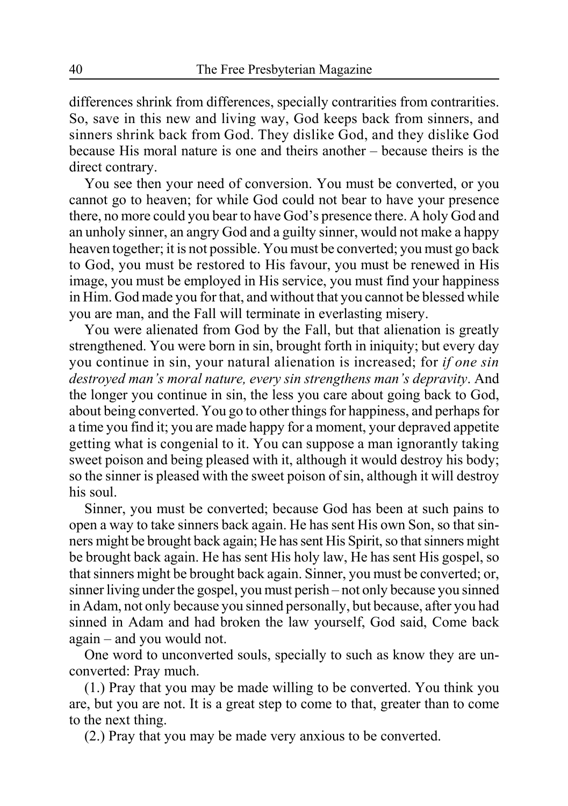differences shrink from differences, specially contrarities from contrarities. So, save in this new and living way, God keeps back from sinners, and sinners shrink back from God. They dislike God, and they dislike God because His moral nature is one and theirs another – because theirs is the direct contrary.

You see then your need of conversion. You must be converted, or you cannot go to heaven; for while God could not bear to have your presence there, no more could you bear to have God's presence there. A holy God and an unholy sinner, an angry God and a guilty sinner, would not make a happy heaven together; it is not possible. You must be converted; you must go back to God, you must be restored to His favour, you must be renewed in His image, you must be employed in His service, you must find your happiness in Him. God made you for that, and without that you cannot be blessed while you are man, and the Fall will terminate in everlasting misery.

You were alienated from God by the Fall, but that alienation is greatly strengthened. You were born in sin, brought forth in iniquity; but every day you continue in sin, your natural alienation is increased; for *if one sin destroyed man's moral nature, every sin strengthens man's depravity*. And the longer you continue in sin, the less you care about going back to God, about being converted. You go to other things for happiness, and perhaps for a time you find it; you are made happy for a moment, your depraved appetite getting what is congenial to it. You can suppose a man ignorantly taking sweet poison and being pleased with it, although it would destroy his body; so the sinner is pleased with the sweet poison of sin, although it will destroy his soul.

Sinner, you must be converted; because God has been at such pains to open a way to take sinners back again. He has sent His own Son, so that sinners might be brought back again; He has sent His Spirit, so that sinners might be brought back again. He has sent His holy law, He has sent His gospel, so that sinners might be brought back again. Sinner, you must be converted; or, sinner living under the gospel, you must perish – not only because you sinned in Adam, not only because you sinned personally, but because, after you had sinned in Adam and had broken the law yourself, God said, Come back again – and you would not.

One word to unconverted souls, specially to such as know they are unconverted: Pray much.

(1.) Pray that you may be made willing to be converted. You think you are, but you are not. It is a great step to come to that, greater than to come to the next thing.

(2.) Pray that you may be made very anxious to be converted.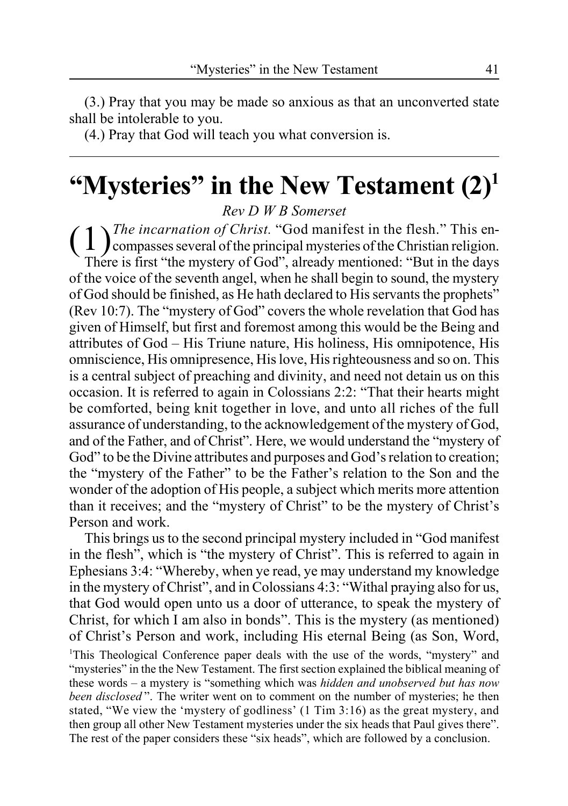(3.) Pray that you may be made so anxious as that an unconverted state shall be intolerable to you.

(4.) Pray that God will teach you what conversion is.

# **"Mysteries" in the New Testament (2)1**

*Rev D W B Somerset*

( 1) *The incarnation of Christ.* "God manifest in the flesh." This en-<br>compasses several of the principal mysteries of the Christian religion. There is first "the mystery of God", already mentioned: "But in the days of the voice of the seventh angel, when he shall begin to sound, the mystery of God should be finished, as He hath declared to His servants the prophets" (Rev 10:7). The "mystery of God" covers the whole revelation that God has given of Himself, but first and foremost among this would be the Being and attributes of God – His Triune nature, His holiness, His omnipotence, His omniscience, His omnipresence, His love, His righteousness and so on. This is a central subject of preaching and divinity, and need not detain us on this occasion. It is referred to again in Colossians 2:2: "That their hearts might be comforted, being knit together in love, and unto all riches of the full assurance of understanding, to the acknowledgement of the mystery of God, and of the Father, and of Christ". Here, we would understand the "mystery of God" to be the Divine attributes and purposes and God's relation to creation; the "mystery of the Father" to be the Father's relation to the Son and the wonder of the adoption of His people, a subject which merits more attention than it receives; and the "mystery of Christ" to be the mystery of Christ's Person and work.

This brings us to the second principal mystery included in "God manifest in the flesh", which is "the mystery of Christ". This is referred to again in Ephesians 3:4: "Whereby, when ye read, ye may understand my knowledge in the mystery of Christ", and in Colossians 4:3: "Withal praying also for us, that God would open unto us a door of utterance, to speak the mystery of Christ, for which I am also in bonds". This is the mystery (as mentioned) of Christ's Person and work, including His eternal Being (as Son, Word,

<sup>1</sup>This Theological Conference paper deals with the use of the words, "mystery" and "mysteries" in the the New Testament. The first section explained the biblical meaning of these words – a mystery is "something which was *hidden and unobserved but has now been disclosed* ". The writer went on to comment on the number of mysteries; he then stated, "We view the 'mystery of godliness' (1 Tim 3:16) as the great mystery, and then group all other New Testament mysteries under the six heads that Paul gives there". The rest of the paper considers these "six heads", which are followed by a conclusion.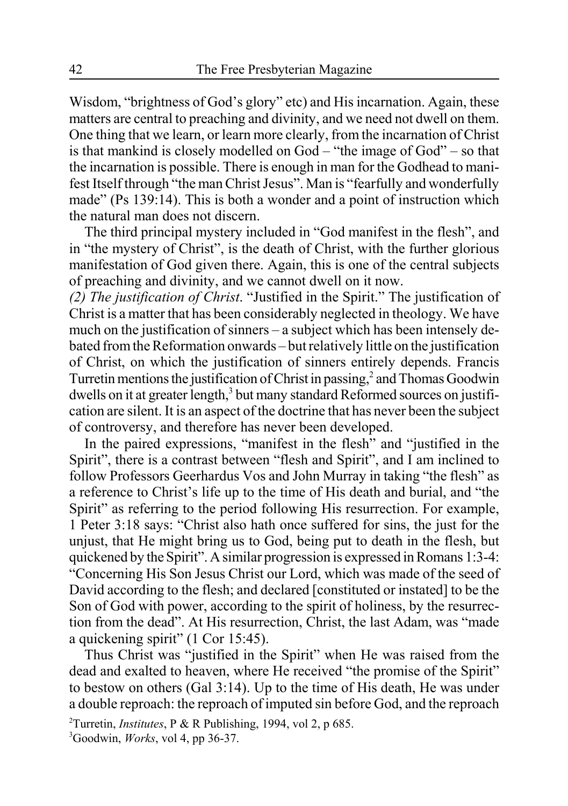Wisdom, "brightness of God's glory" etc) and His incarnation. Again, these matters are central to preaching and divinity, and we need not dwell on them. One thing that we learn, or learn more clearly, from the incarnation of Christ is that mankind is closely modelled on God – "the image of God" – so that the incarnation is possible. There is enough in man for the Godhead to manifest Itself through "the man Christ Jesus". Man is "fearfully and wonderfully made" (Ps 139:14). This is both a wonder and a point of instruction which the natural man does not discern.

The third principal mystery included in "God manifest in the flesh", and in "the mystery of Christ", is the death of Christ, with the further glorious manifestation of God given there. Again, this is one of the central subjects of preaching and divinity, and we cannot dwell on it now.

*(2) The justification of Christ*. "Justified in the Spirit." The justification of Christ is a matter that has been considerably neglected in theology. We have much on the justification of sinners – a subject which has been intensely debated from the Reformation onwards – but relatively little on the justification of Christ, on which the justification of sinners entirely depends. Francis Turretin mentions the justification of Christ in passing, $^2$  and Thomas Goodwin dwells on it at greater length,<sup>3</sup> but many standard Reformed sources on justification are silent. It is an aspect of the doctrine that has never been the subject of controversy, and therefore has never been developed.

In the paired expressions, "manifest in the flesh" and "justified in the Spirit", there is a contrast between "flesh and Spirit", and I am inclined to follow Professors Geerhardus Vos and John Murray in taking "the flesh" as a reference to Christ's life up to the time of His death and burial, and "the Spirit" as referring to the period following His resurrection. For example, 1 Peter 3:18 says: "Christ also hath once suffered for sins, the just for the unjust, that He might bring us to God, being put to death in the flesh, but quickened by the Spirit". A similar progression is expressed in Romans 1:3-4: "Concerning His Son Jesus Christ our Lord, which was made of the seed of David according to the flesh; and declared [constituted or instated] to be the Son of God with power, according to the spirit of holiness, by the resurrection from the dead". At His resurrection, Christ, the last Adam, was "made a quickening spirit" (1 Cor 15:45).

Thus Christ was "justified in the Spirit" when He was raised from the dead and exalted to heaven, where He received "the promise of the Spirit" to bestow on others (Gal 3:14). Up to the time of His death, He was under a double reproach: the reproach of imputed sin before God, and the reproach

<sup>2</sup> Turretin, *Institutes*, P & R Publishing, 1994, vol 2, p 685.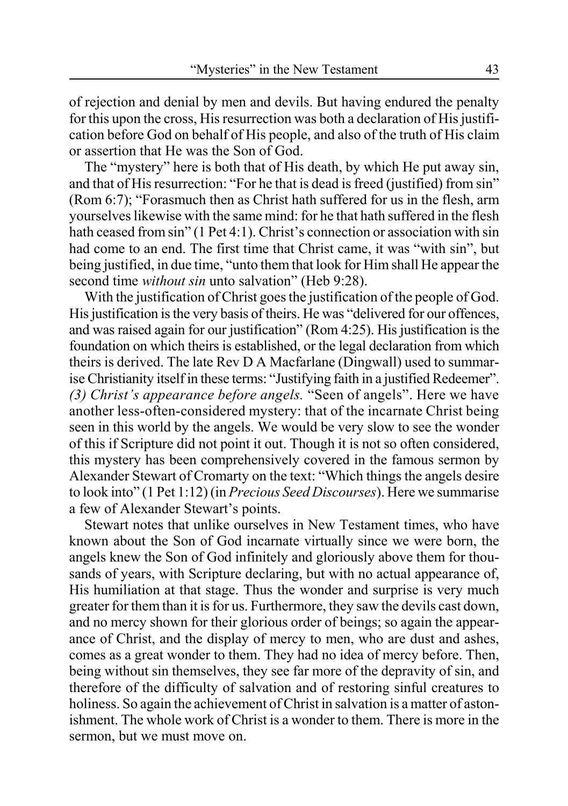of rejection and denial by men and devils. But having endured the penalty for this upon the cross, His resurrection was both a declaration of His justification before God on behalf of His people, and also of the truth of His claim or assertion that He was the Son of God.

The "mystery" here is both that of His death, by which He put away sin, and that of His resurrection: "For he that is dead is freed (justified) from sin" (Rom 6:7); "Forasmuch then as Christ hath suffered for us in the flesh, arm yourselves likewise with the same mind: for he that hath suffered in the flesh hath ceased from sin" (1 Pet 4:1). Christ's connection or association with sin had come to an end. The first time that Christ came, it was "with sin", but being justified, in due time, "unto them that look for Him shall He appear the second time *without sin* unto salvation" (Heb 9:28).

With the justification of Christ goes the justification of the people of God. His justification is the very basis of theirs. He was "delivered for our offences, and was raised again for our justification" (Rom 4:25). His justification is the foundation on which theirs is established, or the legal declaration from which theirs is derived. The late Rev D A Macfarlane (Dingwall) used to summarise Christianity itself in these terms: "Justifying faith in a justified Redeemer". *(3) Christ's appearance before angels.* "Seen of angels". Here we have another less-often-considered mystery: that of the incarnate Christ being seen in this world by the angels. We would be very slow to see the wonder of this if Scripture did not point it out. Though it is not so often considered, this mystery has been comprehensively covered in the famous sermon by Alexander Stewart of Cromarty on the text: "Which things the angels desire to look into" (1 Pet 1:12) (in *Precious Seed Discourses*). Here we summarise a few of Alexander Stewart's points.

Stewart notes that unlike ourselves in New Testament times, who have known about the Son of God incarnate virtually since we were born, the angels knew the Son of God infinitely and gloriously above them for thousands of years, with Scripture declaring, but with no actual appearance of, His humiliation at that stage. Thus the wonder and surprise is very much greater for them than it is for us. Furthermore, they saw the devils cast down, and no mercy shown for their glorious order of beings; so again the appearance of Christ, and the display of mercy to men, who are dust and ashes, comes as a great wonder to them. They had no idea of mercy before. Then, being without sin themselves, they see far more of the depravity of sin, and therefore of the difficulty of salvation and of restoring sinful creatures to holiness. So again the achievement of Christ in salvation is a matter of astonishment. The whole work of Christ is a wonder to them. There is more in the sermon, but we must move on.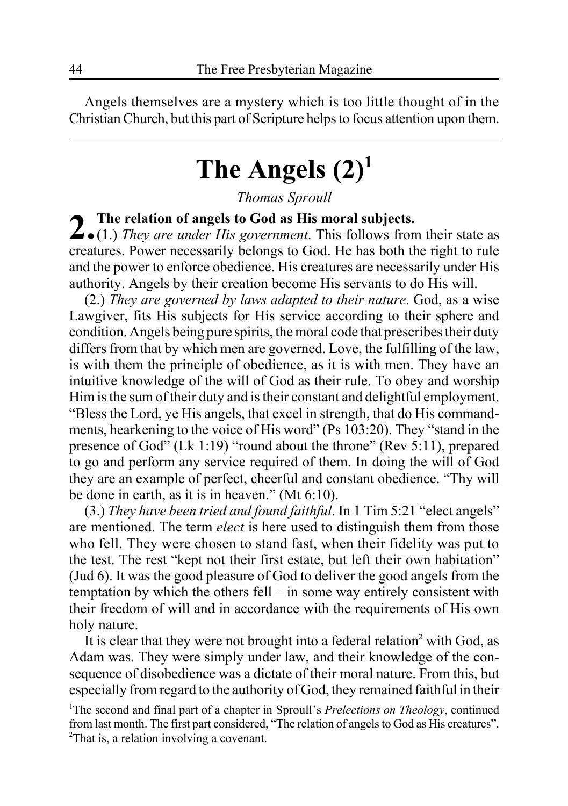Angels themselves are a mystery which is too little thought of in the Christian Church, but this part of Scripture helps to focus attention upon them.

# **The Angels (2)1**

*Thomas Sproull*

2. The relation of angels to God as His moral subjects.<br>
2. (1.) *They are under His government*. This follows from their state as creatures. Power necessarily belongs to God. He has both the right to rule and the power to enforce obedience. His creatures are necessarily under His authority. Angels by their creation become His servants to do His will.

(2.) *They are governed by laws adapted to their nature*. God, as a wise Lawgiver, fits His subjects for His service according to their sphere and condition. Angels being pure spirits, the moral code that prescribes their duty differs from that by which men are governed. Love, the fulfilling of the law, is with them the principle of obedience, as it is with men. They have an intuitive knowledge of the will of God as their rule. To obey and worship Him is the sum of their duty and is their constant and delightful employment. "Bless the Lord, ye His angels, that excel in strength, that do His commandments, hearkening to the voice of His word" (Ps 103:20). They "stand in the presence of God" (Lk 1:19) "round about the throne" (Rev 5:11), prepared to go and perform any service required of them. In doing the will of God they are an example of perfect, cheerful and constant obedience. "Thy will be done in earth, as it is in heaven." (Mt 6:10).

(3.) *They have been tried and found faithful*. In 1 Tim 5:21 "elect angels" are mentioned. The term *elect* is here used to distinguish them from those who fell. They were chosen to stand fast, when their fidelity was put to the test. The rest "kept not their first estate, but left their own habitation" (Jud 6). It was the good pleasure of God to deliver the good angels from the temptation by which the others fell – in some way entirely consistent with their freedom of will and in accordance with the requirements of His own holy nature.

It is clear that they were not brought into a federal relation<sup>2</sup> with God, as Adam was. They were simply under law, and their knowledge of the consequence of disobedience was a dictate of their moral nature. From this, but especially from regard to the authority of God, they remained faithful in their

<sup>1</sup>The second and final part of a chapter in Sproull's *Prelections on Theology*, continued from last month. The first part considered, "The relation of angels to God as His creatures". <sup>2</sup>That is, a relation involving a covenant.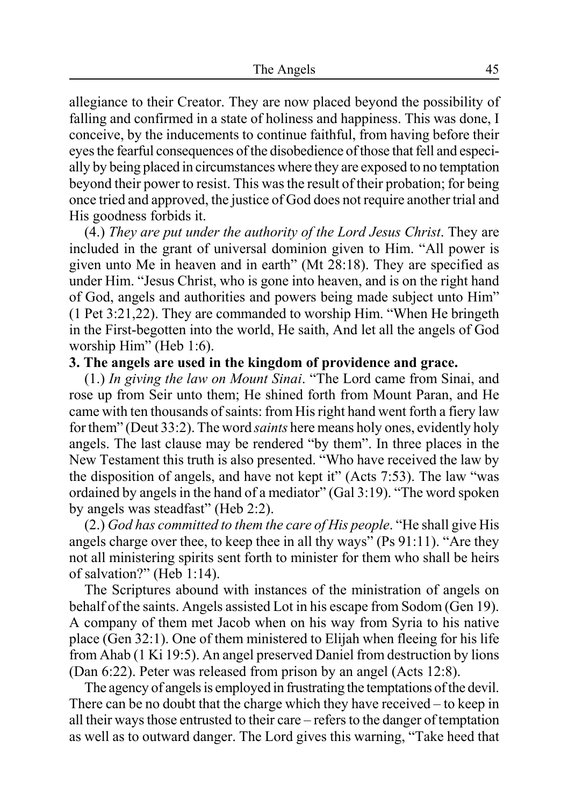allegiance to their Creator. They are now placed beyond the possibility of falling and confirmed in a state of holiness and happiness. This was done, I conceive, by the inducements to continue faithful, from having before their eyes the fearful consequences of the disobedience of those that fell and especially by being placed in circumstances where they are exposed to no temptation beyond their power to resist. This was the result of their probation; for being once tried and approved, the justice of God does not require another trial and His goodness forbids it.

(4.) *They are put under the authority of the Lord Jesus Christ*. They are included in the grant of universal dominion given to Him. "All power is given unto Me in heaven and in earth" (Mt 28:18). They are specified as under Him. "Jesus Christ, who is gone into heaven, and is on the right hand of God, angels and authorities and powers being made subject unto Him" (1 Pet 3:21,22). They are commanded to worship Him. "When He bringeth in the First-begotten into the world, He saith, And let all the angels of God worship Him" (Heb 1:6).

#### **3. The angels are used in the kingdom of providence and grace.**

(1.) *In giving the law on Mount Sinai*. "The Lord came from Sinai, and rose up from Seir unto them; He shined forth from Mount Paran, and He came with ten thousands of saints: from His right hand went forth a fiery law for them" (Deut 33:2). The word *saints* here means holy ones, evidently holy angels. The last clause may be rendered "by them". In three places in the New Testament this truth is also presented. "Who have received the law by the disposition of angels, and have not kept it" (Acts 7:53). The law "was ordained by angels in the hand of a mediator" (Gal 3:19). "The word spoken by angels was steadfast" (Heb 2:2).

(2.) *God has committed to them the care of His people*. "He shall give His angels charge over thee, to keep thee in all thy ways" (Ps 91:11). "Are they not all ministering spirits sent forth to minister for them who shall be heirs of salvation?" (Heb 1:14).

The Scriptures abound with instances of the ministration of angels on behalf of the saints. Angels assisted Lot in his escape from Sodom (Gen 19). A company of them met Jacob when on his way from Syria to his native place (Gen 32:1). One of them ministered to Elijah when fleeing for his life from Ahab (1 Ki 19:5). An angel preserved Daniel from destruction by lions (Dan 6:22). Peter was released from prison by an angel (Acts 12:8).

The agency of angels is employed in frustrating the temptations of the devil. There can be no doubt that the charge which they have received – to keep in all their ways those entrusted to their care – refers to the danger of temptation as well as to outward danger. The Lord gives this warning, "Take heed that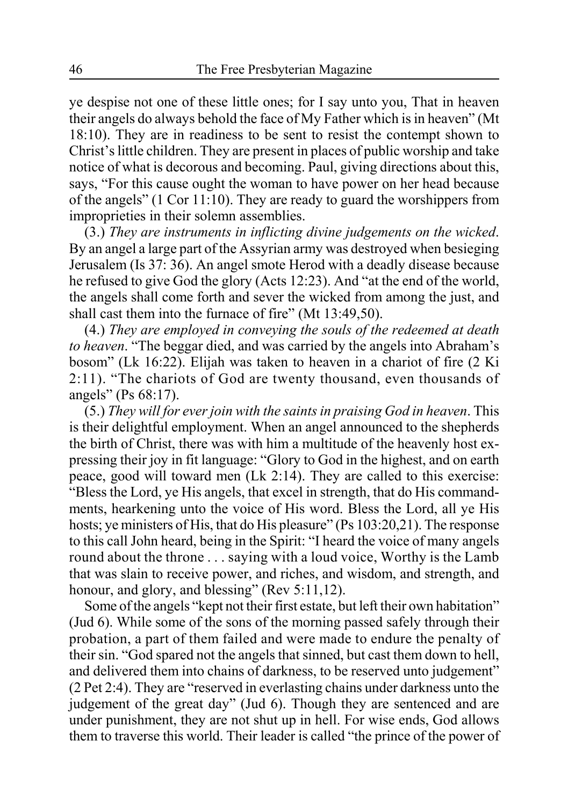ye despise not one of these little ones; for I say unto you, That in heaven their angels do always behold the face of My Father which is in heaven" (Mt 18:10). They are in readiness to be sent to resist the contempt shown to Christ's little children. They are present in places of public worship and take notice of what is decorous and becoming. Paul, giving directions about this, says, "For this cause ought the woman to have power on her head because of the angels" (1 Cor 11:10). They are ready to guard the worshippers from improprieties in their solemn assemblies.

(3.) *They are instruments in inflicting divine judgements on the wicked*. By an angel a large part of the Assyrian army was destroyed when besieging Jerusalem (Is 37: 36). An angel smote Herod with a deadly disease because he refused to give God the glory (Acts 12:23). And "at the end of the world, the angels shall come forth and sever the wicked from among the just, and shall cast them into the furnace of fire" (Mt 13:49,50).

(4.) *They are employed in conveying the souls of the redeemed at death to heaven*. "The beggar died, and was carried by the angels into Abraham's bosom" (Lk 16:22). Elijah was taken to heaven in a chariot of fire (2 Ki 2:11). "The chariots of God are twenty thousand, even thousands of angels" (Ps 68:17).

(5.) *They will for ever join with the saints in praising God in heaven*. This is their delightful employment. When an angel announced to the shepherds the birth of Christ, there was with him a multitude of the heavenly host expressing their joy in fit language: "Glory to God in the highest, and on earth peace, good will toward men (Lk 2:14). They are called to this exercise: "Bless the Lord, ye His angels, that excel in strength, that do His commandments, hearkening unto the voice of His word. Bless the Lord, all ye His hosts; ye ministers of His, that do His pleasure" (Ps 103:20,21). The response to this call John heard, being in the Spirit: "I heard the voice of many angels round about the throne . . . saying with a loud voice, Worthy is the Lamb that was slain to receive power, and riches, and wisdom, and strength, and honour, and glory, and blessing" (Rev 5:11,12).

Some of the angels "kept not their first estate, but left their own habitation" (Jud 6). While some of the sons of the morning passed safely through their probation, a part of them failed and were made to endure the penalty of their sin. "God spared not the angels that sinned, but cast them down to hell, and delivered them into chains of darkness, to be reserved unto judgement" (2 Pet 2:4). They are "reserved in everlasting chains under darkness unto the judgement of the great day" (Jud 6). Though they are sentenced and are under punishment, they are not shut up in hell. For wise ends, God allows them to traverse this world. Their leader is called "the prince of the power of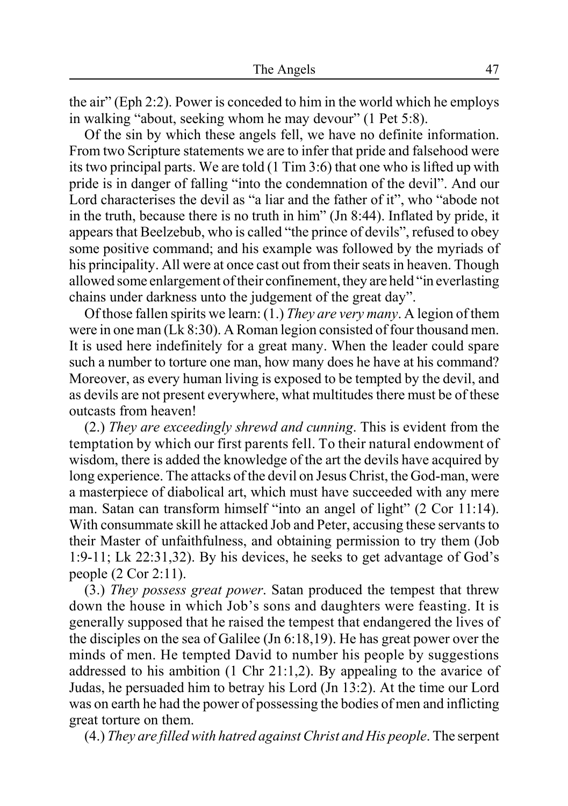the air" (Eph 2:2). Power is conceded to him in the world which he employs in walking "about, seeking whom he may devour" (1 Pet 5:8).

Of the sin by which these angels fell, we have no definite information. From two Scripture statements we are to infer that pride and falsehood were its two principal parts. We are told (1 Tim 3:6) that one who is lifted up with pride is in danger of falling "into the condemnation of the devil". And our Lord characterises the devil as "a liar and the father of it", who "abode not in the truth, because there is no truth in him" (Jn 8:44). Inflated by pride, it appears that Beelzebub, who is called "the prince of devils", refused to obey some positive command; and his example was followed by the myriads of his principality. All were at once cast out from their seats in heaven. Though allowed some enlargement of their confinement, they are held "in everlasting chains under darkness unto the judgement of the great day".

Of those fallen spirits we learn: (1.) *They are very many*. A legion of them were in one man (Lk 8:30). A Roman legion consisted of four thousand men. It is used here indefinitely for a great many. When the leader could spare such a number to torture one man, how many does he have at his command? Moreover, as every human living is exposed to be tempted by the devil, and as devils are not present everywhere, what multitudes there must be of these outcasts from heaven!

(2.) *They are exceedingly shrewd and cunning*. This is evident from the temptation by which our first parents fell. To their natural endowment of wisdom, there is added the knowledge of the art the devils have acquired by long experience. The attacks of the devil on Jesus Christ, the God-man, were a masterpiece of diabolical art, which must have succeeded with any mere man. Satan can transform himself "into an angel of light" (2 Cor 11:14). With consummate skill he attacked Job and Peter, accusing these servants to their Master of unfaithfulness, and obtaining permission to try them (Job 1:9-11; Lk 22:31,32). By his devices, he seeks to get advantage of God's people (2 Cor 2:11).

(3.) *They possess great power*. Satan produced the tempest that threw down the house in which Job's sons and daughters were feasting. It is generally supposed that he raised the tempest that endangered the lives of the disciples on the sea of Galilee (Jn 6:18,19). He has great power over the minds of men. He tempted David to number his people by suggestions addressed to his ambition (1 Chr 21:1,2). By appealing to the avarice of Judas, he persuaded him to betray his Lord (Jn 13:2). At the time our Lord was on earth he had the power of possessing the bodies of men and inflicting great torture on them.

(4.) *They are filled with hatred against Christ and His people*. The serpent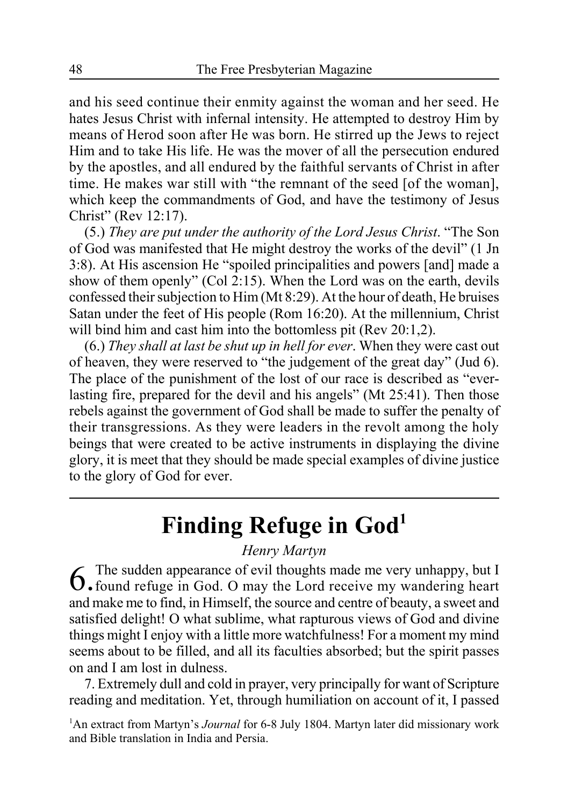and his seed continue their enmity against the woman and her seed. He hates Jesus Christ with infernal intensity. He attempted to destroy Him by means of Herod soon after He was born. He stirred up the Jews to reject Him and to take His life. He was the mover of all the persecution endured by the apostles, and all endured by the faithful servants of Christ in after time. He makes war still with "the remnant of the seed [of the woman], which keep the commandments of God, and have the testimony of Jesus Christ" (Rev 12:17).

(5.) *They are put under the authority of the Lord Jesus Christ*. "The Son of God was manifested that He might destroy the works of the devil" (1 Jn 3:8). At His ascension He "spoiled principalities and powers [and] made a show of them openly" (Col 2:15). When the Lord was on the earth, devils confessed their subjection to Him (Mt 8:29). At the hour of death, He bruises Satan under the feet of His people (Rom 16:20). At the millennium, Christ will bind him and cast him into the bottomless pit (Rev 20:1.2).

(6.) *They shall at last be shut up in hell for ever*. When they were cast out of heaven, they were reserved to "the judgement of the great day" (Jud 6). The place of the punishment of the lost of our race is described as "everlasting fire, prepared for the devil and his angels" (Mt 25:41). Then those rebels against the government of God shall be made to suffer the penalty of their transgressions. As they were leaders in the revolt among the holy beings that were created to be active instruments in displaying the divine glory, it is meet that they should be made special examples of divine justice to the glory of God for ever.

## **Finding Refuge in God1**

#### *Henry Martyn*

 $6$ . The sudden appearance of evil thoughts made me very unhappy, but I<br> $6$ . found refuge in God. O may the Lord receive my wandering heart and make me to find, in Himself, the source and centre of beauty, a sweet and satisfied delight! O what sublime, what rapturous views of God and divine things might I enjoy with a little more watchfulness! For a moment my mind seems about to be filled, and all its faculties absorbed; but the spirit passes on and I am lost in dulness.

7. Extremely dull and cold in prayer, very principally for want of Scripture reading and meditation. Yet, through humiliation on account of it, I passed

<sup>1</sup>An extract from Martyn's *Journal* for 6-8 July 1804. Martyn later did missionary work and Bible translation in India and Persia.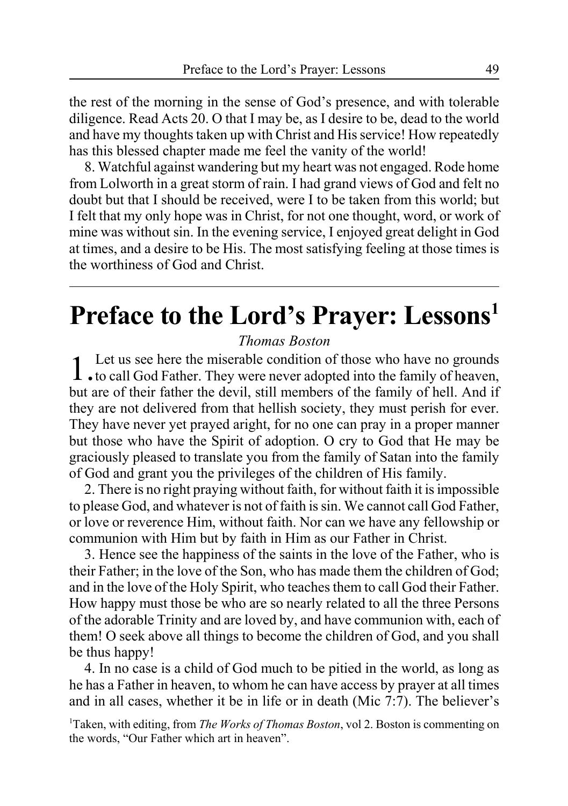the rest of the morning in the sense of God's presence, and with tolerable diligence. Read Acts 20. O that I may be, as I desire to be, dead to the world and have my thoughts taken up with Christ and His service! How repeatedly has this blessed chapter made me feel the vanity of the world!

8. Watchful against wandering but my heart was not engaged. Rode home from Lolworth in a great storm of rain. I had grand views of God and felt no doubt but that I should be received, were I to be taken from this world; but I felt that my only hope was in Christ, for not one thought, word, or work of mine was without sin. In the evening service, I enjoyed great delight in God at times, and a desire to be His. The most satisfying feeling at those times is the worthiness of God and Christ.

# **Preface to the Lord's Prayer: Lessons1**

*Thomas Boston*

1. Let us see here the miserable condition of those who have no grounds<br>to call God Father. They were never adopted into the family of heaven, but are of their father the devil, still members of the family of hell. And if they are not delivered from that hellish society, they must perish for ever. They have never yet prayed aright, for no one can pray in a proper manner but those who have the Spirit of adoption. O cry to God that He may be graciously pleased to translate you from the family of Satan into the family of God and grant you the privileges of the children of His family.

2. There is no right praying without faith, for without faith it is impossible to please God, and whatever is not of faith is sin. We cannot call God Father, or love or reverence Him, without faith. Nor can we have any fellowship or communion with Him but by faith in Him as our Father in Christ.

3. Hence see the happiness of the saints in the love of the Father, who is their Father; in the love of the Son, who has made them the children of God; and in the love of the Holy Spirit, who teaches them to call God their Father. How happy must those be who are so nearly related to all the three Persons of the adorable Trinity and are loved by, and have communion with, each of them! O seek above all things to become the children of God, and you shall be thus happy!

4. In no case is a child of God much to be pitied in the world, as long as he has a Father in heaven, to whom he can have access by prayer at all times and in all cases, whether it be in life or in death (Mic 7:7). The believer's

<sup>1</sup>Taken, with editing, from *The Works of Thomas Boston*, vol 2. Boston is commenting on the words, "Our Father which art in heaven".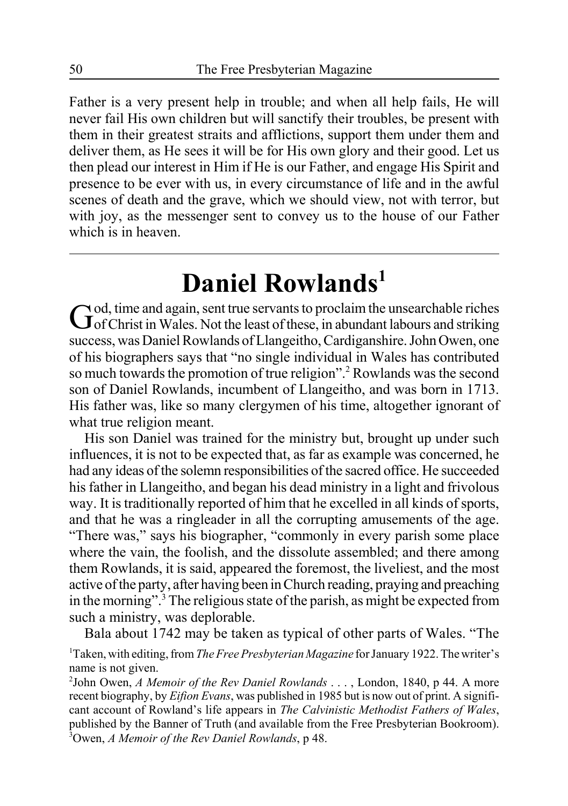Father is a very present help in trouble; and when all help fails, He will never fail His own children but will sanctify their troubles, be present with them in their greatest straits and afflictions, support them under them and deliver them, as He sees it will be for His own glory and their good. Let us then plead our interest in Him if He is our Father, and engage His Spirit and presence to be ever with us, in every circumstance of life and in the awful scenes of death and the grave, which we should view, not with terror, but with joy, as the messenger sent to convey us to the house of our Father which is in heaven.

# **Daniel Rowlands1**

God, time and again, sent true servants to proclaim the unsearchable riches of the least of these, in abundant labours and striking success, was Daniel Rowlands of Llangeitho, Cardiganshire. John Owen, one of his biographers says that "no single individual in Wales has contributed so much towards the promotion of true religion".<sup>2</sup> Rowlands was the second son of Daniel Rowlands, incumbent of Llangeitho, and was born in 1713. His father was, like so many clergymen of his time, altogether ignorant of what true religion meant.

His son Daniel was trained for the ministry but, brought up under such influences, it is not to be expected that, as far as example was concerned, he had any ideas of the solemn responsibilities of the sacred office. He succeeded his father in Llangeitho, and began his dead ministry in a light and frivolous way. It is traditionally reported of him that he excelled in all kinds of sports, and that he was a ringleader in all the corrupting amusements of the age. "There was," says his biographer, "commonly in every parish some place where the vain, the foolish, and the dissolute assembled; and there among them Rowlands, it is said, appeared the foremost, the liveliest, and the most active of the party, after having been in Church reading, praying and preaching in the morning".3 The religious state of the parish, as might be expected from such a ministry, was deplorable.

Bala about 1742 may be taken as typical of other parts of Wales. "The 1 Taken, with editing, from *The Free Presbyterian Magazine* for January 1922. The writer's name is not given.

2 John Owen, *A Memoir of the Rev Daniel Rowlands* . . . , London, 1840, p 44. A more recent biography, by *Eifion Evans*, was published in 1985 but is now out of print. A significant account of Rowland's life appears in *The Calvinistic Methodist Fathers of Wales*, published by the Banner of Truth (and available from the Free Presbyterian Bookroom). 3 Owen, *A Memoir of the Rev Daniel Rowlands*, p 48.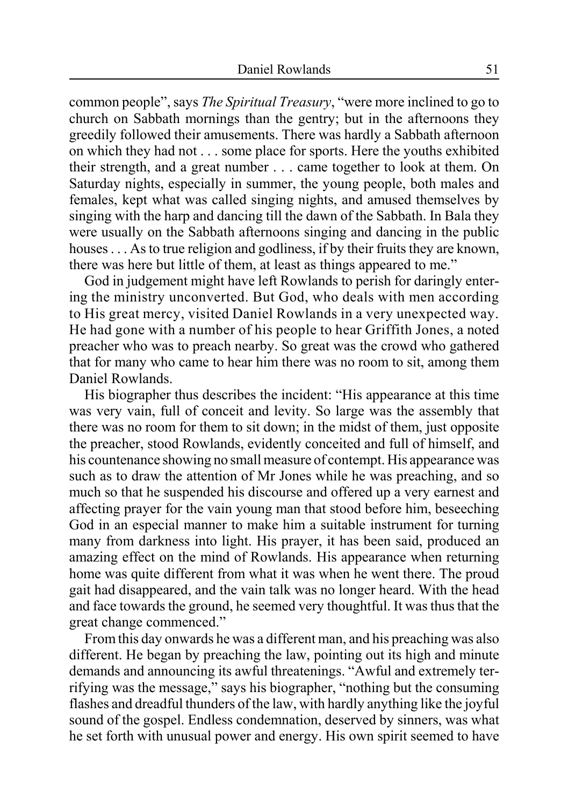common people", says *The Spiritual Treasury*, "were more inclined to go to church on Sabbath mornings than the gentry; but in the afternoons they greedily followed their amusements. There was hardly a Sabbath afternoon on which they had not . . . some place for sports. Here the youths exhibited their strength, and a great number . . . came together to look at them. On Saturday nights, especially in summer, the young people, both males and females, kept what was called singing nights, and amused themselves by singing with the harp and dancing till the dawn of the Sabbath. In Bala they were usually on the Sabbath afternoons singing and dancing in the public houses . . . As to true religion and godliness, if by their fruits they are known, there was here but little of them, at least as things appeared to me."

God in judgement might have left Rowlands to perish for daringly entering the ministry unconverted. But God, who deals with men according to His great mercy, visited Daniel Rowlands in a very unexpected way. He had gone with a number of his people to hear Griffith Jones, a noted preacher who was to preach nearby. So great was the crowd who gathered that for many who came to hear him there was no room to sit, among them Daniel Rowlands.

His biographer thus describes the incident: "His appearance at this time was very vain, full of conceit and levity. So large was the assembly that there was no room for them to sit down; in the midst of them, just opposite the preacher, stood Rowlands, evidently conceited and full of himself, and his countenance showing no small measure of contempt. His appearance was such as to draw the attention of Mr Jones while he was preaching, and so much so that he suspended his discourse and offered up a very earnest and affecting prayer for the vain young man that stood before him, beseeching God in an especial manner to make him a suitable instrument for turning many from darkness into light. His prayer, it has been said, produced an amazing effect on the mind of Rowlands. His appearance when returning home was quite different from what it was when he went there. The proud gait had disappeared, and the vain talk was no longer heard. With the head and face towards the ground, he seemed very thoughtful. It was thus that the great change commenced."

From this day onwards he was a different man, and his preaching was also different. He began by preaching the law, pointing out its high and minute demands and announcing its awful threatenings. "Awful and extremely terrifying was the message," says his biographer, "nothing but the consuming flashes and dreadful thunders of the law, with hardly anything like the joyful sound of the gospel. Endless condemnation, deserved by sinners, was what he set forth with unusual power and energy. His own spirit seemed to have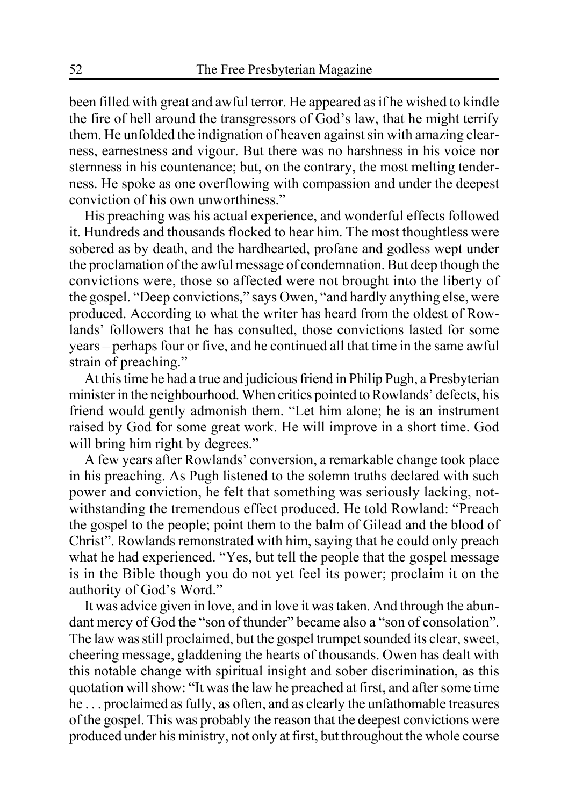been filled with great and awful terror. He appeared as if he wished to kindle the fire of hell around the transgressors of God's law, that he might terrify them. He unfolded the indignation of heaven against sin with amazing clearness, earnestness and vigour. But there was no harshness in his voice nor sternness in his countenance; but, on the contrary, the most melting tenderness. He spoke as one overflowing with compassion and under the deepest conviction of his own unworthiness."

His preaching was his actual experience, and wonderful effects followed it. Hundreds and thousands flocked to hear him. The most thoughtless were sobered as by death, and the hardhearted, profane and godless wept under the proclamation of the awful message of condemnation. But deep though the convictions were, those so affected were not brought into the liberty of the gospel. "Deep convictions," says Owen, "and hardly anything else, were produced. According to what the writer has heard from the oldest of Rowlands' followers that he has consulted, those convictions lasted for some years – perhaps four or five, and he continued all that time in the same awful strain of preaching."

At this time he had a true and judicious friend in Philip Pugh, a Presbyterian minister in the neighbourhood. When critics pointed to Rowlands' defects, his friend would gently admonish them. "Let him alone; he is an instrument raised by God for some great work. He will improve in a short time. God will bring him right by degrees."

A few years after Rowlands' conversion, a remarkable change took place in his preaching. As Pugh listened to the solemn truths declared with such power and conviction, he felt that something was seriously lacking, notwithstanding the tremendous effect produced. He told Rowland: "Preach the gospel to the people; point them to the balm of Gilead and the blood of Christ". Rowlands remonstrated with him, saying that he could only preach what he had experienced. "Yes, but tell the people that the gospel message is in the Bible though you do not yet feel its power; proclaim it on the authority of God's Word."

It was advice given in love, and in love it was taken. And through the abundant mercy of God the "son of thunder" became also a "son of consolation". The law was still proclaimed, but the gospel trumpet sounded its clear, sweet, cheering message, gladdening the hearts of thousands. Owen has dealt with this notable change with spiritual insight and sober discrimination, as this quotation will show: "It was the law he preached at first, and after some time he . . . proclaimed as fully, as often, and as clearly the unfathomable treasures of the gospel. This was probably the reason that the deepest convictions were produced under his ministry, not only at first, but throughout the whole course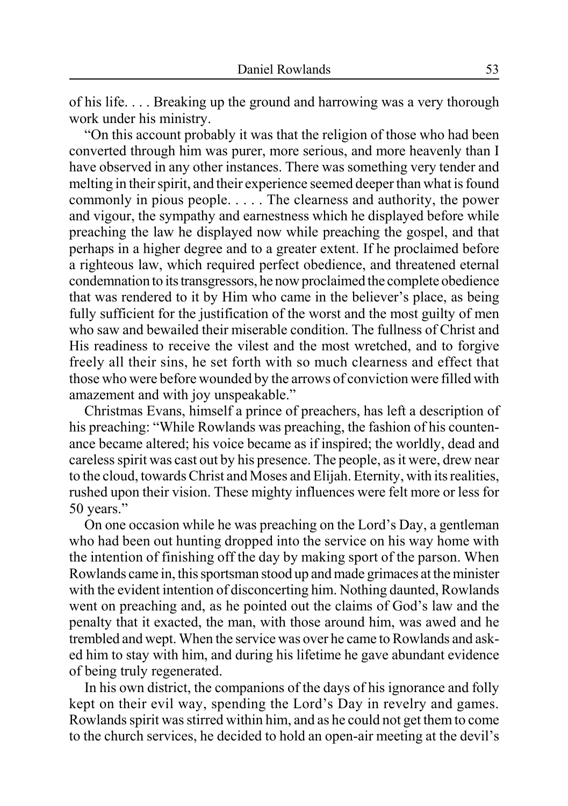of his life. . . . Breaking up the ground and harrowing was a very thorough work under his ministry.

"On this account probably it was that the religion of those who had been converted through him was purer, more serious, and more heavenly than I have observed in any other instances. There was something very tender and melting in their spirit, and their experience seemed deeper than what is found commonly in pious people. . . . . The clearness and authority, the power and vigour, the sympathy and earnestness which he displayed before while preaching the law he displayed now while preaching the gospel, and that perhaps in a higher degree and to a greater extent. If he proclaimed before a righteous law, which required perfect obedience, and threatened eternal condemnation to its transgressors, he now proclaimed the complete obedience that was rendered to it by Him who came in the believer's place, as being fully sufficient for the justification of the worst and the most guilty of men who saw and bewailed their miserable condition. The fullness of Christ and His readiness to receive the vilest and the most wretched, and to forgive freely all their sins, he set forth with so much clearness and effect that those who were before wounded by the arrows of conviction were filled with amazement and with joy unspeakable."

Christmas Evans, himself a prince of preachers, has left a description of his preaching: "While Rowlands was preaching, the fashion of his countenance became altered; his voice became as if inspired; the worldly, dead and careless spirit was cast out by his presence. The people, as it were, drew near to the cloud, towards Christ and Moses and Elijah. Eternity, with its realities, rushed upon their vision. These mighty influences were felt more or less for 50 years."

On one occasion while he was preaching on the Lord's Day, a gentleman who had been out hunting dropped into the service on his way home with the intention of finishing off the day by making sport of the parson. When Rowlands came in, this sportsman stood up and made grimaces at the minister with the evident intention of disconcerting him. Nothing daunted, Rowlands went on preaching and, as he pointed out the claims of God's law and the penalty that it exacted, the man, with those around him, was awed and he trembled and wept. When the service was over he came to Rowlands and asked him to stay with him, and during his lifetime he gave abundant evidence of being truly regenerated.

In his own district, the companions of the days of his ignorance and folly kept on their evil way, spending the Lord's Day in revelry and games. Rowlands spirit was stirred within him, and as he could not get them to come to the church services, he decided to hold an open-air meeting at the devil's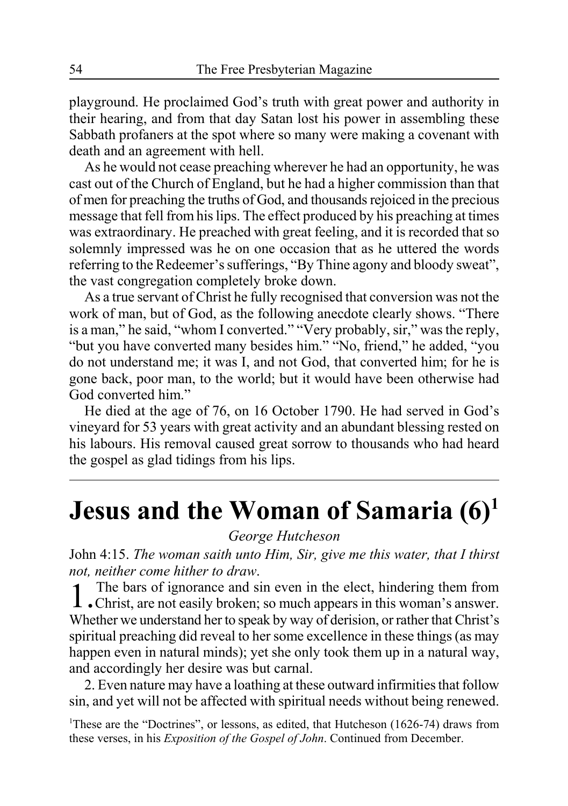playground. He proclaimed God's truth with great power and authority in their hearing, and from that day Satan lost his power in assembling these Sabbath profaners at the spot where so many were making a covenant with death and an agreement with hell.

As he would not cease preaching wherever he had an opportunity, he was cast out of the Church of England, but he had a higher commission than that of men for preaching the truths of God, and thousands rejoiced in the precious message that fell from his lips. The effect produced by his preaching at times was extraordinary. He preached with great feeling, and it is recorded that so solemnly impressed was he on one occasion that as he uttered the words referring to the Redeemer's sufferings, "By Thine agony and bloody sweat", the vast congregation completely broke down.

As a true servant of Christ he fully recognised that conversion was not the work of man, but of God, as the following anecdote clearly shows. "There is a man," he said, "whom I converted." "Very probably, sir," was the reply, "but you have converted many besides him." "No, friend," he added, "you do not understand me; it was I, and not God, that converted him; for he is gone back, poor man, to the world; but it would have been otherwise had God converted him."

He died at the age of 76, on 16 October 1790. He had served in God's vineyard for 53 years with great activity and an abundant blessing rested on his labours. His removal caused great sorrow to thousands who had heard the gospel as glad tidings from his lips.

# **Jesus and the Woman of Samaria (6)1**

*George Hutcheson*

John 4:15. *The woman saith unto Him, Sir, give me this water, that I thirst not, neither come hither to draw*.

1. The bars of ignorance and sin even in the elect, hindering them from Christ, are not easily broken; so much appears in this woman's answer. Whether we understand her to speak by way of derision, or rather that Christ's spiritual preaching did reveal to her some excellence in these things (as may happen even in natural minds); yet she only took them up in a natural way, and accordingly her desire was but carnal.

2. Even nature may have a loathing at these outward infirmities that follow sin, and yet will not be affected with spiritual needs without being renewed.

<sup>1</sup>These are the "Doctrines", or lessons, as edited, that Hutcheson (1626-74) draws from these verses, in his *Exposition of the Gospel of John*. Continued from December.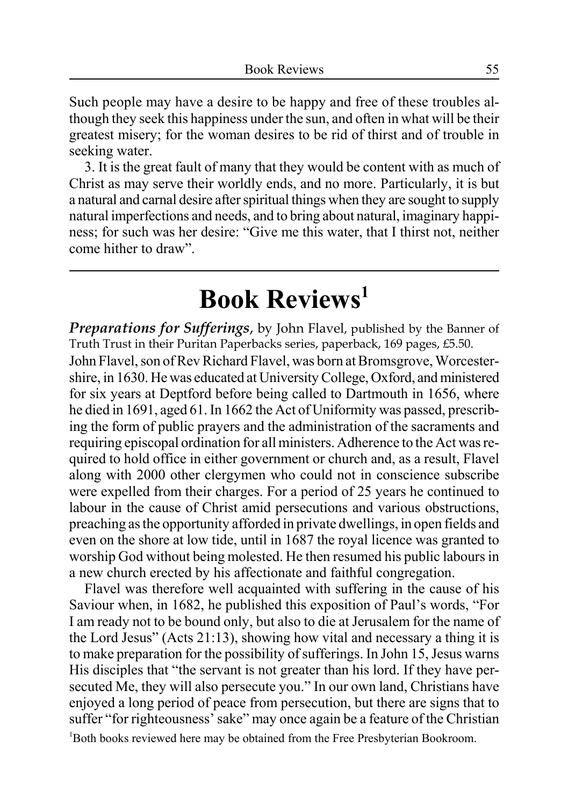Such people may have a desire to be happy and free of these troubles although they seek this happiness under the sun, and often in what will be their greatest misery; for the woman desires to be rid of thirst and of trouble in seeking water.

3. It is the great fault of many that they would be content with as much of Christ as may serve their worldly ends, and no more. Particularly, it is but a natural and carnal desire after spiritual things when they are sought to supply natural imperfections and needs, and to bring about natural, imaginary happiness; for such was her desire: "Give me this water, that I thirst not, neither come hither to draw".

# **Book Reviews1**

*Preparations for Sufferings*, by John Flavel, published by the Banner of Truth Trust in their Puritan Paperbacks series, paperback, 169 pages, £5.50.

John Flavel, son of Rev Richard Flavel, was born at Bromsgrove, Worcestershire, in 1630. He was educated at University College, Oxford, and ministered for six years at Deptford before being called to Dartmouth in 1656, where he died in 1691, aged 61. In 1662 the Act of Uniformity was passed, prescribing the form of public prayers and the administration of the sacraments and requiring episcopal ordination for all ministers. Adherence to the Act was required to hold office in either government or church and, as a result, Flavel along with 2000 other clergymen who could not in conscience subscribe were expelled from their charges. For a period of 25 years he continued to labour in the cause of Christ amid persecutions and various obstructions, preaching as the opportunity afforded in private dwellings, in open fields and even on the shore at low tide, until in 1687 the royal licence was granted to worship God without being molested. He then resumed his public labours in a new church erected by his affectionate and faithful congregation.

Flavel was therefore well acquainted with suffering in the cause of his Saviour when, in 1682, he published this exposition of Paul's words, "For I am ready not to be bound only, but also to die at Jerusalem for the name of the Lord Jesus" (Acts 21:13), showing how vital and necessary a thing it is to make preparation for the possibility of sufferings. In John 15, Jesus warns His disciples that "the servant is not greater than his lord. If they have persecuted Me, they will also persecute you." In our own land, Christians have enjoyed a long period of peace from persecution, but there are signs that to suffer "for righteousness' sake" may once again be a feature of the Christian <sup>1</sup>Both books reviewed here may be obtained from the Free Presbyterian Bookroom.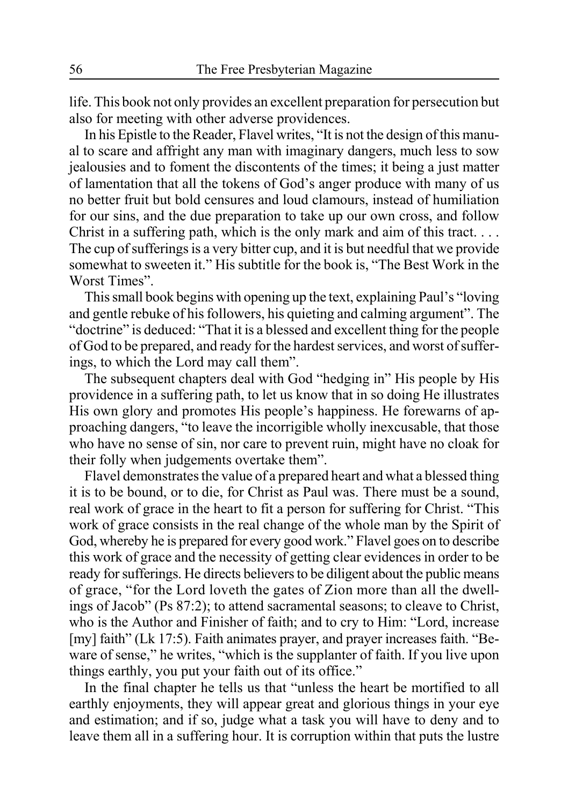life. This book not only provides an excellent preparation for persecution but also for meeting with other adverse providences.

In his Epistle to the Reader, Flavel writes, "It is not the design of this manual to scare and affright any man with imaginary dangers, much less to sow jealousies and to foment the discontents of the times; it being a just matter of lamentation that all the tokens of God's anger produce with many of us no better fruit but bold censures and loud clamours, instead of humiliation for our sins, and the due preparation to take up our own cross, and follow Christ in a suffering path, which is the only mark and aim of this tract.  $\dots$ The cup of sufferings is a very bitter cup, and it is but needful that we provide somewhat to sweeten it." His subtitle for the book is, "The Best Work in the Worst Times".

This small book begins with opening up the text, explaining Paul's "loving and gentle rebuke of his followers, his quieting and calming argument". The "doctrine" is deduced: "That it is a blessed and excellent thing for the people of God to be prepared, and ready for the hardest services, and worst of sufferings, to which the Lord may call them".

The subsequent chapters deal with God "hedging in" His people by His providence in a suffering path, to let us know that in so doing He illustrates His own glory and promotes His people's happiness. He forewarns of approaching dangers, "to leave the incorrigible wholly inexcusable, that those who have no sense of sin, nor care to prevent ruin, might have no cloak for their folly when judgements overtake them".

Flavel demonstrates the value of a prepared heart and what a blessed thing it is to be bound, or to die, for Christ as Paul was. There must be a sound, real work of grace in the heart to fit a person for suffering for Christ. "This work of grace consists in the real change of the whole man by the Spirit of God, whereby he is prepared for every good work." Flavel goes on to describe this work of grace and the necessity of getting clear evidences in order to be ready for sufferings. He directs believers to be diligent about the public means of grace, "for the Lord loveth the gates of Zion more than all the dwellings of Jacob" (Ps 87:2); to attend sacramental seasons; to cleave to Christ, who is the Author and Finisher of faith; and to cry to Him: "Lord, increase [my] faith" (Lk 17:5). Faith animates prayer, and prayer increases faith. "Beware of sense," he writes, "which is the supplanter of faith. If you live upon things earthly, you put your faith out of its office."

In the final chapter he tells us that "unless the heart be mortified to all earthly enjoyments, they will appear great and glorious things in your eye and estimation; and if so, judge what a task you will have to deny and to leave them all in a suffering hour. It is corruption within that puts the lustre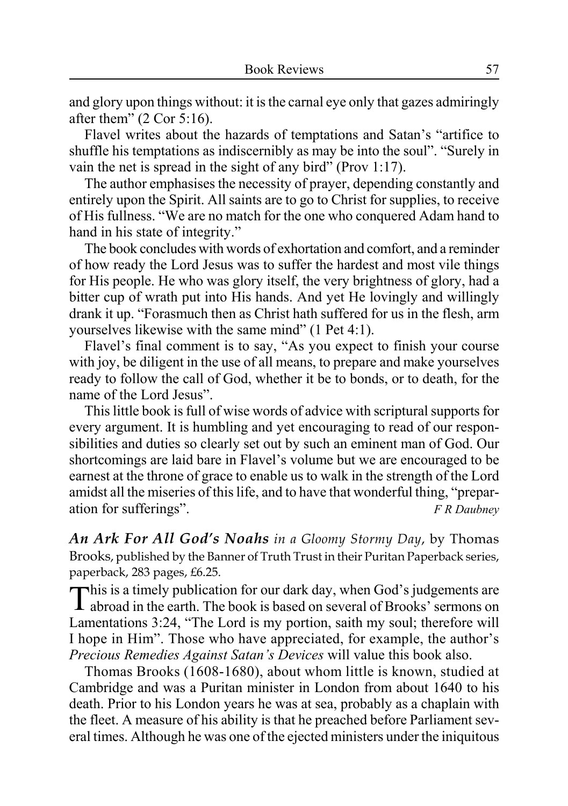and glory upon things without: it is the carnal eye only that gazes admiringly after them"  $(2 \text{ Cor } 5:16)$ .

Flavel writes about the hazards of temptations and Satan's "artifice to shuffle his temptations as indiscernibly as may be into the soul". "Surely in vain the net is spread in the sight of any bird" (Prov 1:17).

The author emphasises the necessity of prayer, depending constantly and entirely upon the Spirit. All saints are to go to Christ for supplies, to receive of His fullness. "We are no match for the one who conquered Adam hand to hand in his state of integrity."

The book concludes with words of exhortation and comfort, and a reminder of how ready the Lord Jesus was to suffer the hardest and most vile things for His people. He who was glory itself, the very brightness of glory, had a bitter cup of wrath put into His hands. And yet He lovingly and willingly drank it up. "Forasmuch then as Christ hath suffered for us in the flesh, arm yourselves likewise with the same mind" (1 Pet 4:1).

Flavel's final comment is to say, "As you expect to finish your course with joy, be diligent in the use of all means, to prepare and make yourselves ready to follow the call of God, whether it be to bonds, or to death, for the name of the Lord Jesus".

This little book is full of wise words of advice with scriptural supports for every argument. It is humbling and yet encouraging to read of our responsibilities and duties so clearly set out by such an eminent man of God. Our shortcomings are laid bare in Flavel's volume but we are encouraged to be earnest at the throne of grace to enable us to walk in the strength of the Lord amidst all the miseries of this life, and to have that wonderful thing, "preparation for sufferings". *F R Daubney*

*An Ark For All God's Noahs in a Gloomy Stormy Day*, by Thomas Brooks, published by the Banner of Truth Trust in their Puritan Paperback series, paperback, 283 pages, £6.25.

This is a timely publication for our dark day, when God's judgements are abroad in the earth. The book is based on several of Brooks' sermons on Lamentations 3:24, "The Lord is my portion, saith my soul; therefore will I hope in Him". Those who have appreciated, for example, the author's *Precious Remedies Against Satan's Devices* will value this book also.

Thomas Brooks (1608-1680), about whom little is known, studied at Cambridge and was a Puritan minister in London from about 1640 to his death. Prior to his London years he was at sea, probably as a chaplain with the fleet. A measure of his ability is that he preached before Parliament several times. Although he was one of the ejected ministers under the iniquitous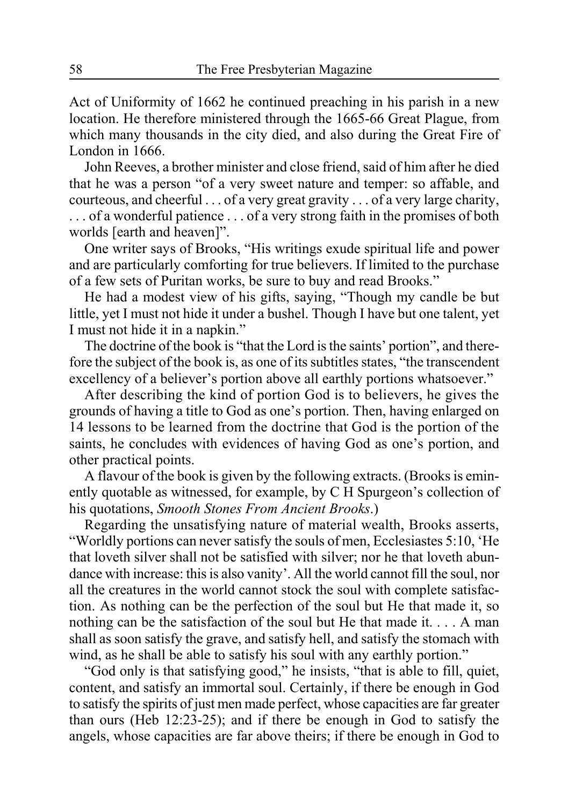Act of Uniformity of 1662 he continued preaching in his parish in a new location. He therefore ministered through the 1665-66 Great Plague, from which many thousands in the city died, and also during the Great Fire of London in 1666.

John Reeves, a brother minister and close friend, said of him after he died that he was a person "of a very sweet nature and temper: so affable, and courteous, and cheerful . . . of a very great gravity . . . of a very large charity, . . . of a wonderful patience . . . of a very strong faith in the promises of both worlds [earth and heaven]".

One writer says of Brooks, "His writings exude spiritual life and power and are particularly comforting for true believers. If limited to the purchase of a few sets of Puritan works, be sure to buy and read Brooks."

He had a modest view of his gifts, saying, "Though my candle be but little, yet I must not hide it under a bushel. Though I have but one talent, yet I must not hide it in a napkin."

The doctrine of the book is "that the Lord is the saints' portion", and therefore the subject of the book is, as one of its subtitles states, "the transcendent excellency of a believer's portion above all earthly portions whatsoever."

After describing the kind of portion God is to believers, he gives the grounds of having a title to God as one's portion. Then, having enlarged on 14 lessons to be learned from the doctrine that God is the portion of the saints, he concludes with evidences of having God as one's portion, and other practical points.

A flavour of the book is given by the following extracts. (Brooks is eminently quotable as witnessed, for example, by C H Spurgeon's collection of his quotations, *Smooth Stones From Ancient Brooks*.)

Regarding the unsatisfying nature of material wealth, Brooks asserts, "Worldly portions can never satisfy the souls of men, Ecclesiastes 5:10, 'He that loveth silver shall not be satisfied with silver; nor he that loveth abundance with increase: this is also vanity'. All the world cannot fill the soul, nor all the creatures in the world cannot stock the soul with complete satisfaction. As nothing can be the perfection of the soul but He that made it, so nothing can be the satisfaction of the soul but He that made it. . . . A man shall as soon satisfy the grave, and satisfy hell, and satisfy the stomach with wind, as he shall be able to satisfy his soul with any earthly portion."

"God only is that satisfying good," he insists, "that is able to fill, quiet, content, and satisfy an immortal soul. Certainly, if there be enough in God to satisfy the spirits of just men made perfect, whose capacities are far greater than ours (Heb 12:23-25); and if there be enough in God to satisfy the angels, whose capacities are far above theirs; if there be enough in God to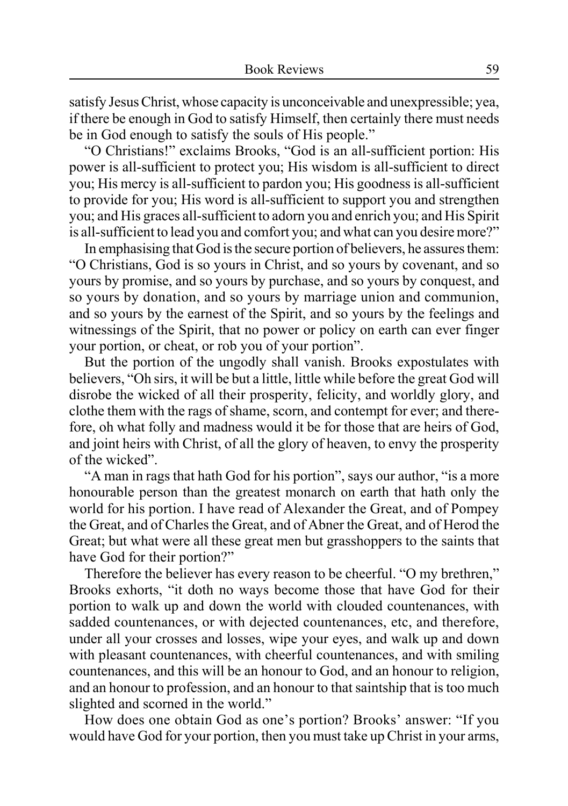satisfy Jesus Christ, whose capacity is unconceivable and unexpressible; yea, if there be enough in God to satisfy Himself, then certainly there must needs be in God enough to satisfy the souls of His people."

"O Christians!" exclaims Brooks, "God is an all-sufficient portion: His power is all-sufficient to protect you; His wisdom is all-sufficient to direct you; His mercy is all-sufficient to pardon you; His goodness is all-sufficient to provide for you; His word is all-sufficient to support you and strengthen you; and His graces all-sufficient to adorn you and enrich you; and His Spirit is all-sufficient to lead you and comfort you; and what can you desire more?"

In emphasising that God is the secure portion of believers, he assures them: "O Christians, God is so yours in Christ, and so yours by covenant, and so yours by promise, and so yours by purchase, and so yours by conquest, and so yours by donation, and so yours by marriage union and communion, and so yours by the earnest of the Spirit, and so yours by the feelings and witnessings of the Spirit, that no power or policy on earth can ever finger your portion, or cheat, or rob you of your portion".

But the portion of the ungodly shall vanish. Brooks expostulates with believers, "Oh sirs, it will be but a little, little while before the great God will disrobe the wicked of all their prosperity, felicity, and worldly glory, and clothe them with the rags of shame, scorn, and contempt for ever; and therefore, oh what folly and madness would it be for those that are heirs of God, and joint heirs with Christ, of all the glory of heaven, to envy the prosperity of the wicked".

"A man in rags that hath God for his portion", says our author, "is a more honourable person than the greatest monarch on earth that hath only the world for his portion. I have read of Alexander the Great, and of Pompey the Great, and of Charles the Great, and of Abner the Great, and of Herod the Great; but what were all these great men but grasshoppers to the saints that have God for their portion?"

Therefore the believer has every reason to be cheerful. "O my brethren," Brooks exhorts, "it doth no ways become those that have God for their portion to walk up and down the world with clouded countenances, with sadded countenances, or with dejected countenances, etc, and therefore, under all your crosses and losses, wipe your eyes, and walk up and down with pleasant countenances, with cheerful countenances, and with smiling countenances, and this will be an honour to God, and an honour to religion, and an honour to profession, and an honour to that saintship that is too much slighted and scorned in the world."

How does one obtain God as one's portion? Brooks' answer: "If you would have God for your portion, then you must take up Christ in your arms,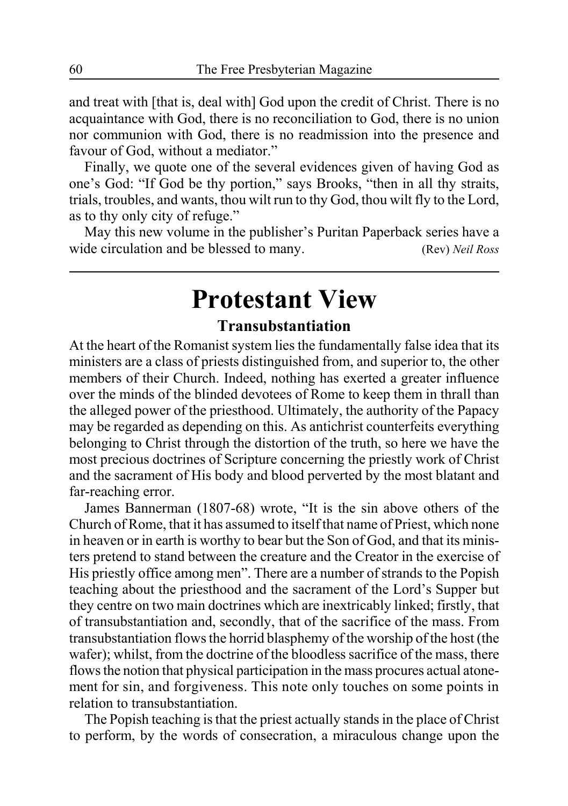and treat with [that is, deal with] God upon the credit of Christ. There is no acquaintance with God, there is no reconciliation to God, there is no union nor communion with God, there is no readmission into the presence and favour of God, without a mediator."

Finally, we quote one of the several evidences given of having God as one's God: "If God be thy portion," says Brooks, "then in all thy straits, trials, troubles, and wants, thou wilt run to thy God, thou wilt fly to the Lord, as to thy only city of refuge."

May this new volume in the publisher's Puritan Paperback series have a wide circulation and be blessed to many. (Rev) *Neil Ross*

### **Protestant View**

### **Transubstantiation**

At the heart of the Romanist system lies the fundamentally false idea that its ministers are a class of priests distinguished from, and superior to, the other members of their Church. Indeed, nothing has exerted a greater influence over the minds of the blinded devotees of Rome to keep them in thrall than the alleged power of the priesthood. Ultimately, the authority of the Papacy may be regarded as depending on this. As antichrist counterfeits everything belonging to Christ through the distortion of the truth, so here we have the most precious doctrines of Scripture concerning the priestly work of Christ and the sacrament of His body and blood perverted by the most blatant and far-reaching error.

James Bannerman (1807-68) wrote, "It is the sin above others of the Church of Rome, that it has assumed to itself that name of Priest, which none in heaven or in earth is worthy to bear but the Son of God, and that its ministers pretend to stand between the creature and the Creator in the exercise of His priestly office among men". There are a number of strands to the Popish teaching about the priesthood and the sacrament of the Lord's Supper but they centre on two main doctrines which are inextricably linked; firstly, that of transubstantiation and, secondly, that of the sacrifice of the mass. From transubstantiation flows the horrid blasphemy of the worship of the host (the wafer); whilst, from the doctrine of the bloodless sacrifice of the mass, there flows the notion that physical participation in the mass procures actual atonement for sin, and forgiveness. This note only touches on some points in relation to transubstantiation.

The Popish teaching is that the priest actually stands in the place of Christ to perform, by the words of consecration, a miraculous change upon the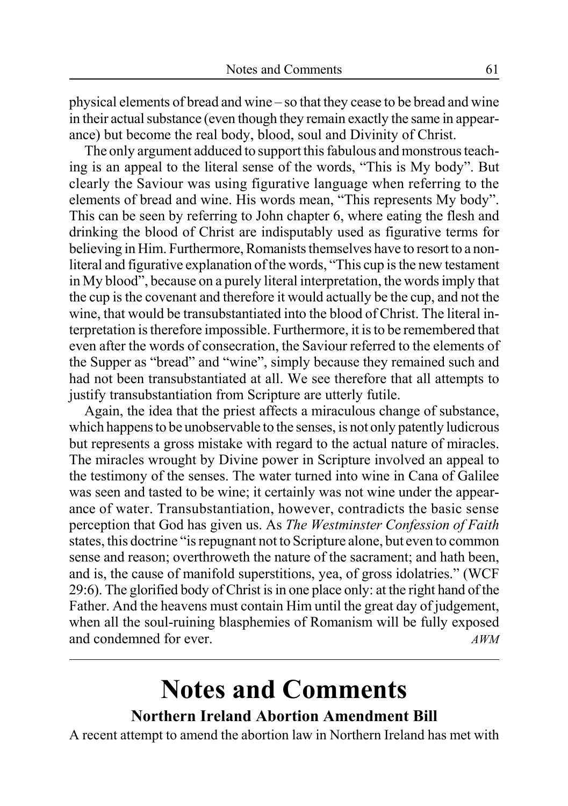physical elements of bread and wine – so that they cease to be bread and wine in their actual substance (even though they remain exactly the same in appearance) but become the real body, blood, soul and Divinity of Christ.

The only argument adduced to support this fabulous and monstrous teaching is an appeal to the literal sense of the words, "This is My body". But clearly the Saviour was using figurative language when referring to the elements of bread and wine. His words mean, "This represents My body". This can be seen by referring to John chapter 6, where eating the flesh and drinking the blood of Christ are indisputably used as figurative terms for believing in Him. Furthermore, Romanists themselves have to resort to a nonliteral and figurative explanation of the words, "This cup is the new testament in My blood", because on a purely literal interpretation, the words imply that the cup is the covenant and therefore it would actually be the cup, and not the wine, that would be transubstantiated into the blood of Christ. The literal interpretation is therefore impossible. Furthermore, it is to be remembered that even after the words of consecration, the Saviour referred to the elements of the Supper as "bread" and "wine", simply because they remained such and had not been transubstantiated at all. We see therefore that all attempts to justify transubstantiation from Scripture are utterly futile.

Again, the idea that the priest affects a miraculous change of substance, which happens to be unobservable to the senses, is not only patently ludicrous but represents a gross mistake with regard to the actual nature of miracles. The miracles wrought by Divine power in Scripture involved an appeal to the testimony of the senses. The water turned into wine in Cana of Galilee was seen and tasted to be wine; it certainly was not wine under the appearance of water. Transubstantiation, however, contradicts the basic sense perception that God has given us. As *The Westminster Confession of Faith* states, this doctrine "is repugnant not to Scripture alone, but even to common sense and reason; overthroweth the nature of the sacrament; and hath been, and is, the cause of manifold superstitions, yea, of gross idolatries." (WCF 29:6). The glorified body of Christ is in one place only: at the right hand of the Father. And the heavens must contain Him until the great day of judgement, when all the soul-ruining blasphemies of Romanism will be fully exposed and condemned for ever. *AWM*

# **Notes and Comments**

### **Northern Ireland Abortion Amendment Bill**

A recent attempt to amend the abortion law in Northern Ireland has met with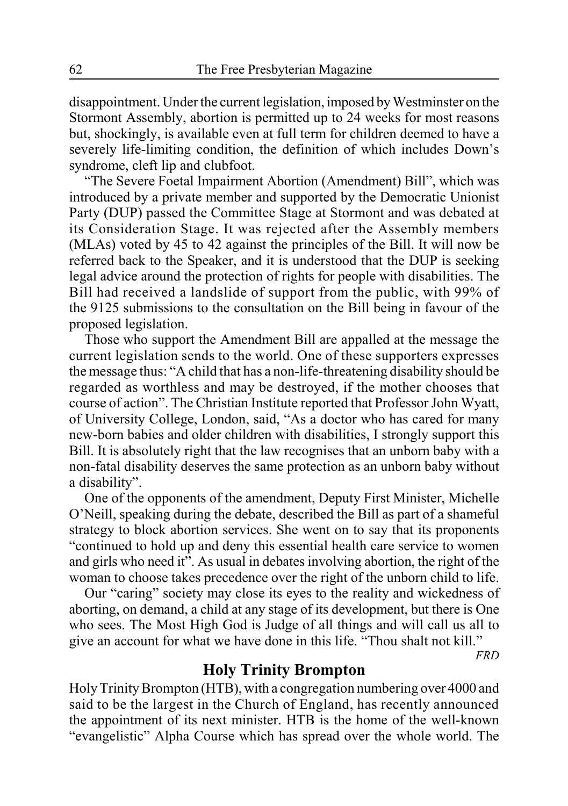disappointment. Under the current legislation, imposed by Westminster on the Stormont Assembly, abortion is permitted up to 24 weeks for most reasons but, shockingly, is available even at full term for children deemed to have a severely life-limiting condition, the definition of which includes Down's syndrome, cleft lip and clubfoot.

"The Severe Foetal Impairment Abortion (Amendment) Bill", which was introduced by a private member and supported by the Democratic Unionist Party (DUP) passed the Committee Stage at Stormont and was debated at its Consideration Stage. It was rejected after the Assembly members (MLAs) voted by 45 to 42 against the principles of the Bill. It will now be referred back to the Speaker, and it is understood that the DUP is seeking legal advice around the protection of rights for people with disabilities. The Bill had received a landslide of support from the public, with 99% of the 9125 submissions to the consultation on the Bill being in favour of the proposed legislation.

Those who support the Amendment Bill are appalled at the message the current legislation sends to the world. One of these supporters expresses the message thus: "A child that has a non-life-threatening disability should be regarded as worthless and may be destroyed, if the mother chooses that course of action". The Christian Institute reported that Professor John Wyatt, of University College, London, said, "As a doctor who has cared for many new-born babies and older children with disabilities, I strongly support this Bill. It is absolutely right that the law recognises that an unborn baby with a non-fatal disability deserves the same protection as an unborn baby without a disability".

One of the opponents of the amendment, Deputy First Minister, Michelle O'Neill, speaking during the debate, described the Bill as part of a shameful strategy to block abortion services. She went on to say that its proponents "continued to hold up and deny this essential health care service to women and girls who need it". As usual in debates involving abortion, the right of the woman to choose takes precedence over the right of the unborn child to life.

Our "caring" society may close its eyes to the reality and wickedness of aborting, on demand, a child at any stage of its development, but there is One who sees. The Most High God is Judge of all things and will call us all to give an account for what we have done in this life. "Thou shalt not kill."

*FRD*

### **Holy Trinity Brompton**

Holy Trinity Brompton (HTB), with a congregation numbering over 4000 and said to be the largest in the Church of England, has recently announced the appointment of its next minister. HTB is the home of the well-known "evangelistic" Alpha Course which has spread over the whole world. The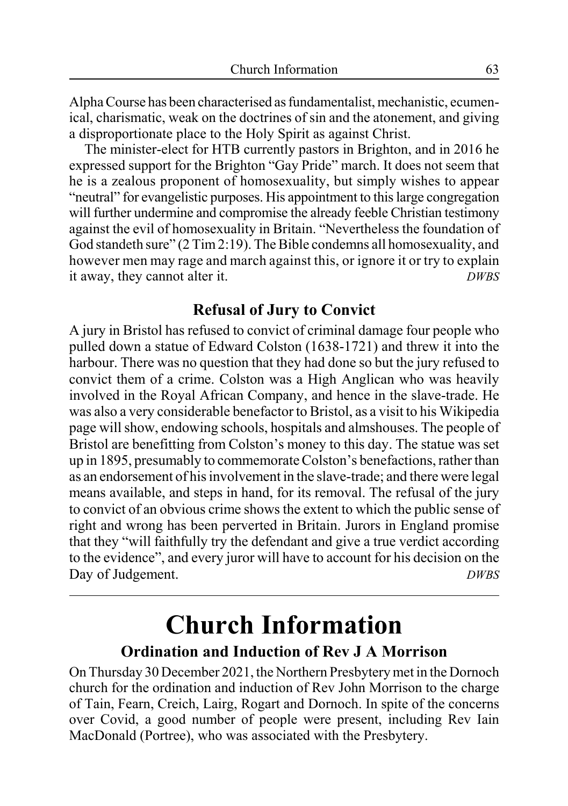Alpha Course has been characterised as fundamentalist, mechanistic, ecumenical, charismatic, weak on the doctrines of sin and the atonement, and giving a disproportionate place to the Holy Spirit as against Christ.

The minister-elect for HTB currently pastors in Brighton, and in 2016 he expressed support for the Brighton "Gay Pride" march. It does not seem that he is a zealous proponent of homosexuality, but simply wishes to appear "neutral" for evangelistic purposes. His appointment to this large congregation will further undermine and compromise the already feeble Christian testimony against the evil of homosexuality in Britain. "Nevertheless the foundation of God standeth sure" (2 Tim 2:19). The Bible condemns all homosexuality, and however men may rage and march against this, or ignore it or try to explain it away, they cannot alter it. *DWBS*

### **Refusal of Jury to Convict**

A jury in Bristol has refused to convict of criminal damage four people who pulled down a statue of Edward Colston (1638-1721) and threw it into the harbour. There was no question that they had done so but the jury refused to convict them of a crime. Colston was a High Anglican who was heavily involved in the Royal African Company, and hence in the slave-trade. He was also a very considerable benefactor to Bristol, as a visit to his Wikipedia page will show, endowing schools, hospitals and almshouses. The people of Bristol are benefitting from Colston's money to this day. The statue was set up in 1895, presumably to commemorate Colston's benefactions, rather than as an endorsement of his involvement in the slave-trade; and there were legal means available, and steps in hand, for its removal. The refusal of the jury to convict of an obvious crime shows the extent to which the public sense of right and wrong has been perverted in Britain. Jurors in England promise that they "will faithfully try the defendant and give a true verdict according to the evidence", and every juror will have to account for his decision on the Day of Judgement. *DWBS* 

# **Church Information**

### **Ordination and Induction of Rev J A Morrison**

On Thursday 30 December 2021, the Northern Presbytery met in the Dornoch church for the ordination and induction of Rev John Morrison to the charge of Tain, Fearn, Creich, Lairg, Rogart and Dornoch. In spite of the concerns over Covid, a good number of people were present, including Rev Iain MacDonald (Portree), who was associated with the Presbytery.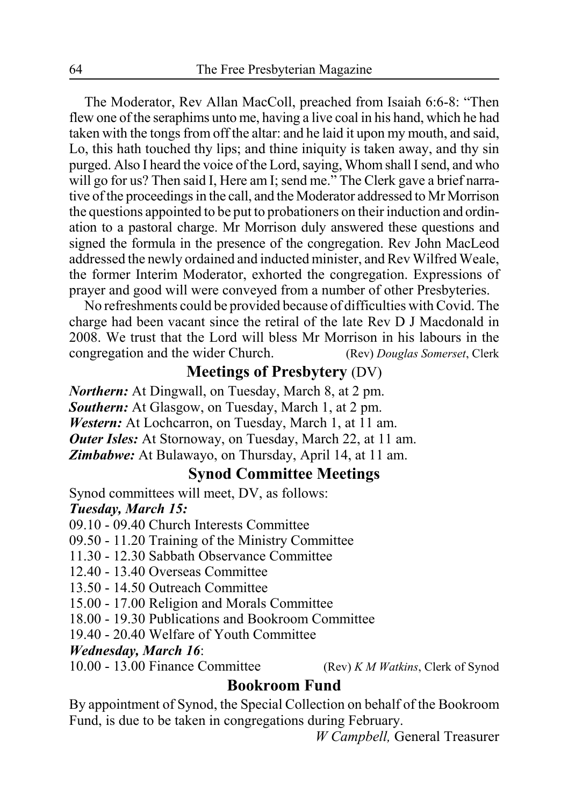The Moderator, Rev Allan MacColl, preached from Isaiah 6:6-8: "Then flew one of the seraphims unto me, having a live coal in his hand, which he had taken with the tongs from off the altar: and he laid it upon my mouth, and said, Lo, this hath touched thy lips; and thine iniquity is taken away, and thy sin purged. Also I heard the voice of the Lord, saying, Whom shall I send, and who will go for us? Then said I, Here am I; send me." The Clerk gave a brief narrative of the proceedings in the call, and the Moderator addressed to Mr Morrison the questions appointed to be put to probationers on their induction and ordination to a pastoral charge. Mr Morrison duly answered these questions and signed the formula in the presence of the congregation. Rev John MacLeod addressed the newly ordained and inducted minister, and Rev Wilfred Weale, the former Interim Moderator, exhorted the congregation. Expressions of prayer and good will were conveyed from a number of other Presbyteries.

No refreshments could be provided because of difficulties with Covid. The charge had been vacant since the retiral of the late Rev D J Macdonald in 2008. We trust that the Lord will bless Mr Morrison in his labours in the congregation and the wider Church. (Rev) *Douglas Somerset*, Clerk

### **Meetings of Presbytery** (DV)

*Northern:* At Dingwall, on Tuesday, March 8, at 2 pm. *Southern:* At Glasgow, on Tuesday, March 1, at 2 pm. *Western:* At Lochcarron, on Tuesday, March 1, at 11 am. *Outer Isles:* At Stornoway, on Tuesday, March 22, at 11 am. *Zimbabwe:* At Bulawayo, on Thursday, April 14, at 11 am.

### **Synod Committee Meetings**

Synod committees will meet, DV, as follows: *Tuesday, March 15:*

09.10 - 09.40 Church Interests Committee

09.50 - 11.20 Training of the Ministry Committee

11.30 - 12.30 Sabbath Observance Committee

12.40 - 13.40 Overseas Committee

13.50 - 14.50 Outreach Committee

15.00 - 17.00 Religion and Morals Committee

18.00 - 19.30 Publications and Bookroom Committee

19.40 - 20.40 Welfare of Youth Committee

#### *Wednesday, March 16*:

10.00 - 13.00 Finance Committee (Rev) *K M Watkins*, Clerk of Synod

### **Bookroom Fund**

By appointment of Synod, the Special Collection on behalf of the Bookroom Fund, is due to be taken in congregations during February.

*W Campbell,* General Treasurer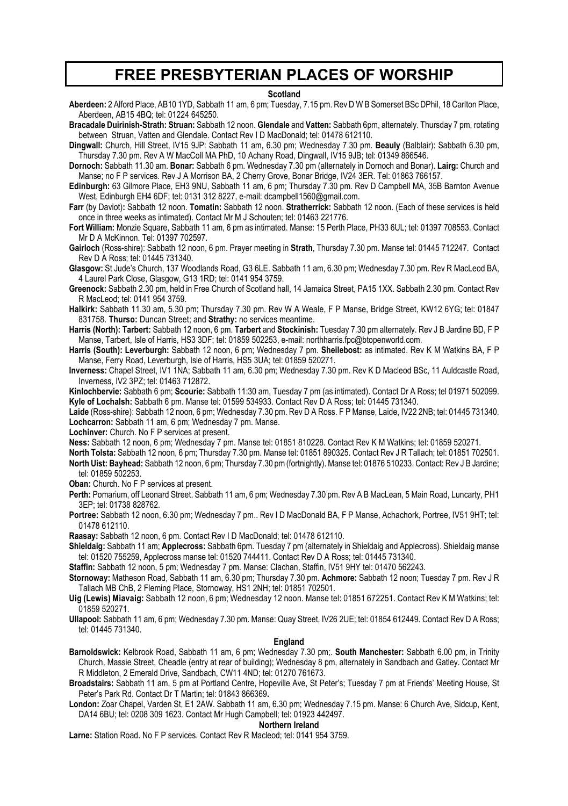### **FREE PRESBYTERIAN PLACES OF WORSHIP**

#### **Scotland**

**Aberdeen:** 2 Alford Place, AB10 1YD, Sabbath 11 am, 6 pm; Tuesday, 7.15 pm. Rev D W B Somerset BSc DPhil, 18 Carlton Place, Aberdeen, AB15 4BQ; tel: 01224 645250.

**Bracadale Duirinish-Strath: Struan:** Sabbath 12 noon. **Glendale** and **Vatten:** Sabbath 6pm, alternately. Thursday 7 pm, rotating between, Struan, Vatten and Glendale. Contact Rev I D MacDonald; tel: 01478 612110.

**Dingwall:** Church, Hill Street, IV15 9JP: Sabbath 11 am, 6.30 pm; Wednesday 7.30 pm. **Beauly** (Balblair): Sabbath 6.30 pm Thursday 7.30 pm. Rev A W MacColl MA PhD, 10 Achany Road, Dingwall, IV15 9JB; tel: 01349 866546.

**Dornoch:** Sabbath 11.30 am. **Bonar:** Sabbath 6 pm. Wednesday 7.30 pm (alternately in Dornoch and Bonar). **Lairg:** Church and Manse; no F P services. Rev J A Morrison BA, 2 Cherry Grove, Bonar Bridge, IV24 3ER. Tel: 01863 766157.

**Edinburgh:** 63 Gilmore Place, EH3 9NU, Sabbath 11 am, 6 pm; Thursday 7.30 pm. Rev D Campbell MA, 35B Barnton Avenue West, Edinburgh EH4 6DF; tel: 0131 312 8227, e-mail: dcampbell1560@gmail.com.

**Farr** (by Daviot)**:** Sabbath 12 noon. **Tomatin:** Sabbath 12 noon. **Stratherrick:** Sabbath 12 noon. (Each of these services is held once in three weeks as intimated). Contact Mr M J Schouten; tel: 01463 221776.

**Fort William:** Monzie Square, Sabbath 11 am, 6 pm as intimated. Manse: 15 Perth Place, PH33 6UL; tel: 01397 708553. Contact Mr D A McKinnon. Tel: 01397 702597.

**Gairloch** (Ross-shire): Sabbath 12 noon, 6 pm. Prayer meeting in **Strath**, Thursday 7.30 pm. Manse tel: 01445 712247. Contact Rev D A Ross; tel: 01445 731340.

**Glasgow:** St Jude's Church, 137 Woodlands Road, G3 6LE. Sabbath 11 am, 6.30 pm; Wednesday 7.30 pm. Rev R MacLeod BA, 4 Laurel Park Close, Glasgow, G13 1RD; tel: 0141 954 3759.

**Greenock:** Sabbath 2.30 pm, held in Free Church of Scotland hall, 14 Jamaica Street, PA15 1XX. Sabbath 2.30 pm. Contact Rev R MacLeod; tel: 0141 954 3759.

**Halkirk:** Sabbath 11.30 am, 5.30 pm; Thursday 7.30 pm. Rev W A Weale, F P Manse, Bridge Street, KW12 6YG; tel: 01847 831758. **Thurso:** Duncan Street; and **Strathy:** no services meantime.

**Harris (North): Tarbert:** Sabbath 12 noon, 6 pm. **Tarbert** and **Stockinish:** Tuesday 7.30 pm alternately. Rev J B Jardine BD, F P Manse, Tarbert, Isle of Harris, HS3 3DF; tel: 01859 502253, e-mail: northharris.fpc@btopenworld.com.

**Harris (South): Leverburgh:** Sabbath 12 noon, 6 pm; Wednesday 7 pm. **Sheilebost:** as intimated. Rev K M Watkins BA, F P Manse, Ferry Road, Leverburgh, Isle of Harris, HS5 3UA; tel: 01859 520271.

**Inverness:** Chapel Street, IV1 1NA; Sabbath 11 am, 6.30 pm; Wednesday 7.30 pm. Rev K D Macleod BSc, 11 Auldcastle Road, Inverness, IV2 3PZ; tel: 01463 712872.

**Kinlochbervie:** Sabbath 6 pm; **Scourie:** Sabbath 11:30 am, Tuesday 7 pm (as intimated). Contact Dr A Ross; tel 01971 502099. **Kyle of Lochalsh:** Sabbath 6 pm. Manse tel: 01599 534933. Contact Rev D A Ross; tel: 01445 731340.

**Laide** (Ross-shire): Sabbath 12 noon, 6 pm; Wednesday 7.30 pm. Rev D A Ross. F P Manse, Laide, IV22 2NB; tel: 01445 731340. **Lochcarron:** Sabbath 11 am, 6 pm; Wednesday 7 pm. Manse.

**Lochinver:** Church. No F P services at present.

**Ness:** Sabbath 12 noon, 6 pm; Wednesday 7 pm. Manse tel: 01851 810228. Contact Rev K M Watkins; tel: 01859 520271.

**North Tolsta:** Sabbath 12 noon, 6 pm; Thursday 7.30 pm. Manse tel: 01851 890325. Contact Rev J R Tallach; tel: 01851 702501. **North Uist: Bayhead:** Sabbath 12 noon, 6 pm; Thursday 7.30 pm (fortnightly). Manse tel: 01876 510233. Contact: Rev J B Jardine; tel: 01859 502253.

**Oban:** Church. No F P services at present.

**Perth:** Pomarium, off Leonard Street. Sabbath 11 am, 6 pm; Wednesday 7.30 pm. Rev A B MacLean, 5 Main Road, Luncarty, PH1 3EP; tel: 01738 828762.

**Portree:** Sabbath 12 noon, 6.30 pm; Wednesday 7 pm.. Rev I D MacDonald BA, F P Manse, Achachork, Portree, IV51 9HT; tel: 01478 612110.

**Raasay:** Sabbath 12 noon, 6 pm. Contact Rev I D MacDonald; tel: 01478 612110.

**Shieldaig:** Sabbath 11 am; **Applecross:** Sabbath 6pm. Tuesday 7 pm (alternately in Shieldaig and Applecross). Shieldaig manse tel: 01520 755259, Applecross manse tel: 01520 744411. Contact Rev D A Ross; tel: 01445 731340.

**Staffin:** Sabbath 12 noon, 5 pm; Wednesday 7 pm. Manse: Clachan, Staffin, IV51 9HY tel: 01470 562243.

**Stornoway:** Matheson Road, Sabbath 11 am, 6.30 pm; Thursday 7.30 pm. **Achmore:** Sabbath 12 noon; Tuesday 7 pm. Rev J R Tallach MB ChB, 2 Fleming Place, Stornoway, HS1 2NH; tel: 01851 702501.

**Uig (Lewis) Miavaig:** Sabbath 12 noon, 6 pm; Wednesday 12 noon. Manse tel: 01851 672251. Contact Rev K M Watkins; tel: 01859 520271.

**Ullapool:** Sabbath 11 am, 6 pm; Wednesday 7.30 pm. Manse: Quay Street, IV26 2UE; tel: 01854 612449. Contact Rev D A Ross; tel: 01445 731340.

#### **England**

**Barnoldswick:** Kelbrook Road, Sabbath 11 am, 6 pm; Wednesday 7.30 pm;. **South Manchester:** Sabbath 6.00 pm, in Trinity Church, Massie Street, Cheadle (entry at rear of building); Wednesday 8 pm, alternately in Sandbach and Gatley. Contact Mr R Middleton, 2 Emerald Drive, Sandbach, CW11 4ND; tel: 01270 761673.

**Broadstairs:** Sabbath 11 am, 5 pm at Portland Centre, Hopeville Ave, St Peter's; Tuesday 7 pm at Friends' Meeting House, St Peter's Park Rd. Contact Dr T Martin; tel: 01843 866369**.**

**London:** Zoar Chapel, Varden St, E1 2AW. Sabbath 11 am, 6.30 pm; Wednesday 7.15 pm. Manse: 6 Church Ave, Sidcup, Kent, DA14 6BU; tel: 0208 309 1623. Contact Mr Hugh Campbell; tel: 01923 442497.

#### **Northern Ireland**

**Larne:** Station Road. No F P services. Contact Rev R Macleod; tel: 0141 954 3759.